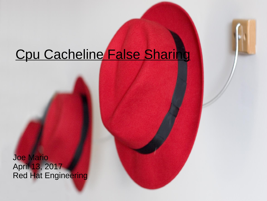# Cpu Cacheline False Sharing

Joe Mario April 13, 2017 Red Hat Engineering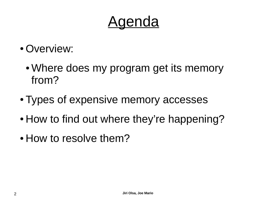# Agenda

- Overview:
	- Where does my program get its memory from?
- Types of expensive memory accesses
- How to find out where they're happening?
- How to resolve them?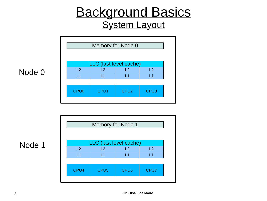#### Background Basics **System Layout**

|                  | Memory for Node 0 |                        |                  |  |  |  |  |  |  |  |
|------------------|-------------------|------------------------|------------------|--|--|--|--|--|--|--|
|                  |                   | LLC (last level cache) |                  |  |  |  |  |  |  |  |
| L2               | L2<br>L2<br>L2    |                        |                  |  |  |  |  |  |  |  |
| $\vert$ 1        | $\overline{1}$ 1  | $\overline{1}$ 1       | $\overline{1}$   |  |  |  |  |  |  |  |
|                  |                   |                        |                  |  |  |  |  |  |  |  |
| CPU <sub>0</sub> | CPU1              | CPU <sub>2</sub>       | CPU <sub>3</sub> |  |  |  |  |  |  |  |
|                  |                   |                        |                  |  |  |  |  |  |  |  |

#### Node 0

|                  |                        | Memory for Node 1 |      |
|------------------|------------------------|-------------------|------|
|                  |                        |                   |      |
|                  |                        |                   |      |
|                  | LLC (last level cache) |                   |      |
| L2               | L2                     | L2                | L2   |
| $\overline{1}$ 1 | l 1                    | $\vert$ 1         | l 1  |
|                  |                        |                   |      |
| CPU4             | CPU <sub>5</sub>       | CPU <sub>6</sub>  | CPU7 |
|                  |                        |                   |      |

Node 1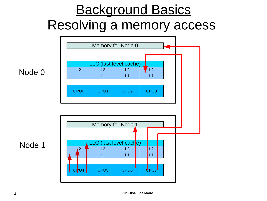# Background Basics Resolving a memory access



Node 0

Node 1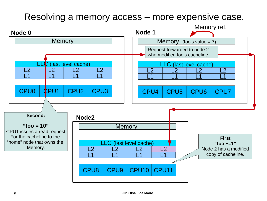#### Resolving a memory access – more expensive case.

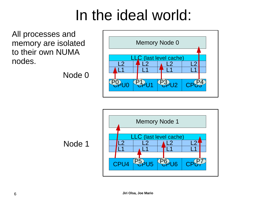# In the ideal world:

All processes and memory are isolated to their own NUMA nodes.

Node 0



Node 1

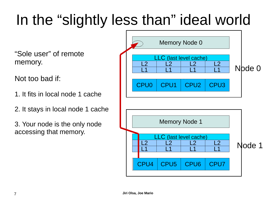# In the "slightly less than" ideal world

"Sole user" of remote memory.

Not too bad if:

1. It fits in local node 1 cache

2. It stays in local node 1 cache

3. Your node is the only node accessing that memory.

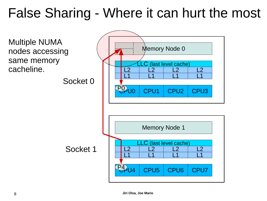# False Sharing - Where it can hurt the most

Multiple NUMA nodes accessing same memory cacheline.

CPU5 CPU6 CPU7 L1 L1 L1 L1 L2 L2 L2 Memory Node 1  $\frac{L2}{11}$ (last level cache) CPU1 CPU2 CPU3 L1 L1 L1 L1 L2 L2 L2 Memory Node 0  $\frac{L2}{11}$ .C (last level cache) **PO**U0 P4 Socket 0 Socket 1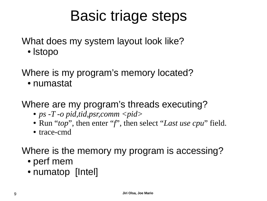# Basic triage steps

What does my system layout look like?

● lstopo

Where is my program's memory located?

● numastat

Where are my program's threads executing?

- ps -T -o pid,tid,psr,comm <pid>
- Run "*top*", then enter "*f*", then select "*Last use cpu*" field.
- trace-cmd

Where is the memory my program is accessing?

- perf mem
- numatop [Intel]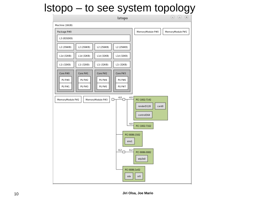#### lstopo – to see system topology

| Istopo                                                                                                   | $\odot \odot \odot$                                                                                                                     |
|----------------------------------------------------------------------------------------------------------|-----------------------------------------------------------------------------------------------------------------------------------------|
| Machine (16GB)                                                                                           |                                                                                                                                         |
| Package P#0                                                                                              | MemoryModule P#0<br>MemoryModule P#1                                                                                                    |
| L3 (8192KB)                                                                                              |                                                                                                                                         |
| L2 (256KB)<br>L2 (256KB)<br>L2 (256KB)<br>L2 (256KB)                                                     |                                                                                                                                         |
| L1d (32KB)<br>L1d (32KB)<br>L1d (32KB)<br>L1d (32KB)                                                     |                                                                                                                                         |
| L1i (32KB)<br>L1i (32KB)<br>L1i (32KB)<br>L1i (32KB)                                                     |                                                                                                                                         |
| Core P#0<br>Core P#1<br>Core P#2<br>Core P#3<br>PU P#0<br>PU P#2<br>PU P#4<br><b>PU P#6</b>              |                                                                                                                                         |
| <b>PU P#5</b><br><b>PU P#7</b><br>PU P#1<br>PU P#3                                                       |                                                                                                                                         |
| 4.0<br>4.0<br>MemoryModule P#3<br>MemoryModule P#2<br>□<br>4.0<br>enol<br>0.2 <sub>r</sub><br>0.2<br>sda | PCI 1002:7142<br>card0<br>renderD128<br>controlD64<br>PCI 1002:7162<br>PCI 8086:1502<br>PCI 8086:0082<br>wlp3s0<br>PCI 8086:1e02<br>sr0 |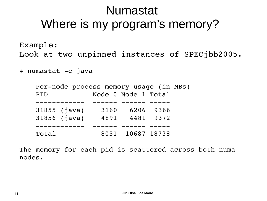#### Numastat Where is my program's memory?

Example: Look at two unpinned instances of SPECjbb2005.

# numastat -c java

|       | Per-node process memory usage (in MBs) |      |                     |  |
|-------|----------------------------------------|------|---------------------|--|
| PID   |                                        |      | Node 0 Node 1 Total |  |
|       |                                        |      |                     |  |
|       | $31855$ (java)                         | 3160 | 6206 9366           |  |
|       | 31856 (java)                           |      | 4891 4481 9372      |  |
|       |                                        |      |                     |  |
| Total |                                        |      | 8051 10687 18738    |  |

The memory for each pid is scattered across both numa nodes.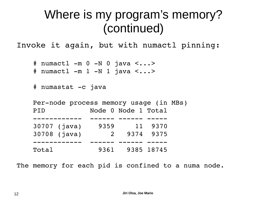### Where is my program's memory? (continued)

Invoke it again, but with numactl pinning:

```
 # numactl -m 0 -N 0 java <...>
```
# numactl -m 1 -N 1 java <...>

```
 # numastat -c java
```

|       | Per-node process memory usage (in MBs) |      |                     |         |  |
|-------|----------------------------------------|------|---------------------|---------|--|
| PID   |                                        |      | Node 0 Node 1 Total |         |  |
|       |                                        |      |                     |         |  |
|       | 30707 (java)                           | 9359 |                     | 11 9370 |  |
|       | 30708 (java)                           |      | 2 9374 9375         |         |  |
|       |                                        |      |                     |         |  |
| Total |                                        |      | 9361 9385 18745     |         |  |

The memory for each pid is confined to a numa node.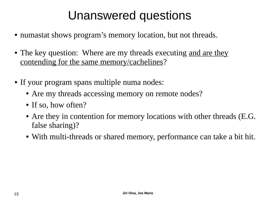### Unanswered questions

- numastat shows program's memory location, but not threads.
- The key question: Where are my threads executing and are they contending for the same memory/cachelines?
- If your program spans multiple numa nodes:
	- Are my threads accessing memory on remote nodes?
	- If so, how often?
	- Are they in contention for memory locations with other threads (E.G. false sharing)?
	- With multi-threads or shared memory, performance can take a bit hit.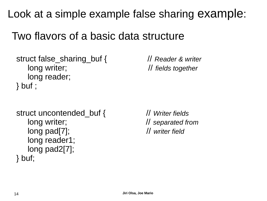Look at a simple example false sharing example:

#### Two flavors of a basic data structure

```
 struct false_sharing_buf { // Reader & writer
   long writer; // fields together
   long reader; 
 } buf ;
```
 struct uncontended\_buf { // *Writer fields* long writer; // *separated from* long pad[7]; // *writer field* long reader1; long pad2[7]; } buf;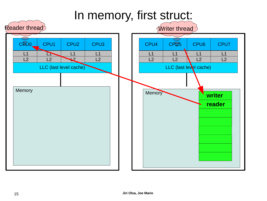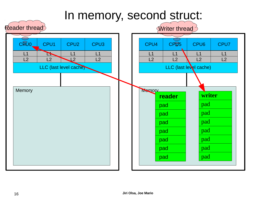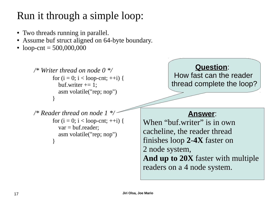#### Run it through a simple loop:

- Two threads running in parallel.
- Assume buf struct aligned on 64-byte boundary.
- loop-cnt =  $500,000,000$

```
 /* Writer thread on node 0 */
           for (i = 0; i < loop-cnt; ++i) {
             buf.writer += 1:
              asm volatile("rep; nop")
 } 
      /* Reader thread on node 1 */
           for (i = 0; i < loop-cnt; ++i) {
              var = buf.reader;
              asm volatile("rep; nop")
 }
                                                            Question: 
                                                    How fast can the reader 
                                                    thread complete the loop?
                                                         Answer:
                                          When "buf.writer" is in own
                                          cacheline, the reader thread 
                                          finishes loop 2-4X faster on 
                                          2 node system,
                                          And up to 20X faster with multiple 
                                          readers on a 4 node system.
```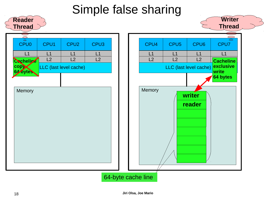#### Simple false sharing

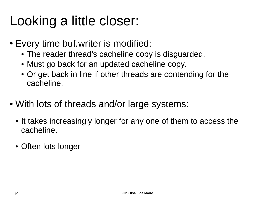# Looking a little closer:

- Every time buf. writer is modified:
	- The reader thread's cacheline copy is disguarded.
	- Must go back for an updated cacheline copy.
	- Or get back in line if other threads are contending for the cacheline.
- With lots of threads and/or large systems:
	- It takes increasingly longer for any one of them to access the cacheline.
	- Often lots longer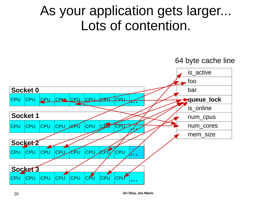# As your application gets larger... Lots of contention.

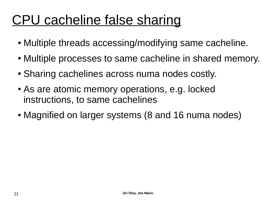# CPU cacheline false sharing

- Multiple threads accessing/modifying same cacheline.
- Multiple processes to same cacheline in shared memory.
- Sharing cachelines across numa nodes costly.
- As are atomic memory operations, e.g. locked instructions, to same cachelines
- Magnified on larger systems (8 and 16 numa nodes)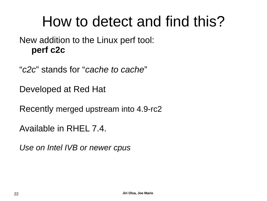# How to detect and find this?

New addition to the Linux perf tool: **perf c2c**

"*c2c*" stands for "*cache to cache*"

Developed at Red Hat

Recently merged upstream into 4.9-rc2

Available in RHEL 7.4.

*Use on Intel IVB or newer cpus*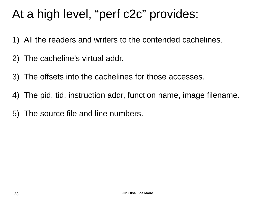### At a high level, "perf c2c" provides:

- 1) All the readers and writers to the contended cachelines.
- 2) The cacheline's virtual addr.
- 3) The offsets into the cachelines for those accesses.
- 4) The pid, tid, instruction addr, function name, image filename.
- 5) The source file and line numbers.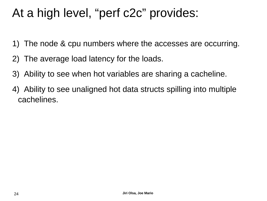### At a high level, "perf c2c" provides:

- 1) The node & cpu numbers where the accesses are occurring.
- 2) The average load latency for the loads.
- 3) Ability to see when hot variables are sharing a cacheline.
- 4) Ability to see unaligned hot data structs spilling into multiple cachelines.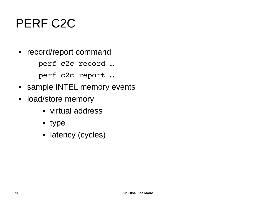### PERF C2C

• record/report command

perf c2c record …

perf c2c report …

- sample INTEL memory events
- load/store memory
	- virtual address
	- type
	- latency (cycles)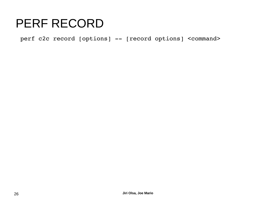perf c2c record [options] -- [record options] <command>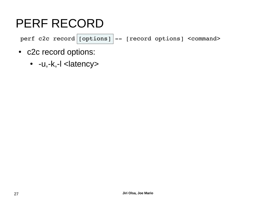perf c2c record  $|$  [options]  $|-$  [record options] <command>

- c2c record options:
	- -u,-k,-l <latency>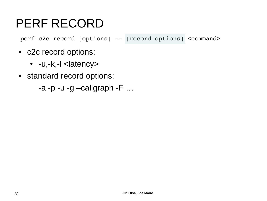perf c2c record [options]  $-$  [record options] <command>

- c2c record options:
	- $\bullet$  -u,-k,-l  $\leq$ latency>
- standard record options:

 $-a$  -p -u -g -callgraph -F  $\dots$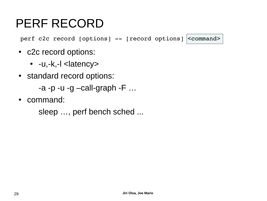perf c2c record [options]  $--$  [record options]  $|<$ command>

- c2c record options:
	- $\bullet$  -u,-k,-l  $\leq$ latency>
- standard record options:

```
-a -p -u -g -call-graph -F \dots
```
• command:

```
sleep …, perf bench sched ...
```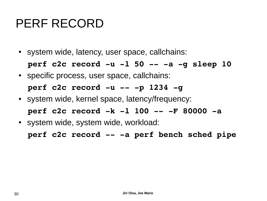• system wide, latency, user space, callchains:

**perf c2c record -u -l 50 -- -a -g sleep 10**

• specific process, user space, callchains:

#### **perf c2c record -u -- -p 1234 -g**

- system wide, kernel space, latency/frequency: **perf c2c record -k -l 100 -- -F 80000 -a**
- system wide, system wide, workload:

**perf c2c record -- -a perf bench sched pipe**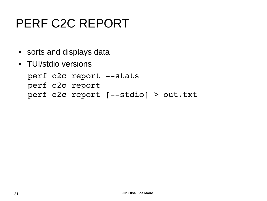### PERF C2C REPORT

- sorts and displays data
- TUI/stdio versions

```
perf c2c report --stats
perf c2c report
perf c2c report [--stdio] > out.txt
```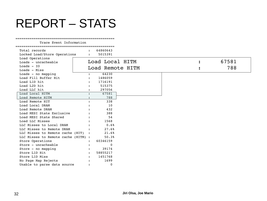#### REPORT – STATS

#### =================================================

Trace Event Information

| Total records<br>Locked Load/Store Operations | $\mathbf{L}$         | 64860643<br>5015391 |                  |   |       |
|-----------------------------------------------|----------------------|---------------------|------------------|---|-------|
| Load Operations<br>Loads - uncacheable        |                      | Load Local HITM     |                  | : | 67581 |
| $Loads - IO$<br>Loads - Miss                  |                      |                     | Load Remote HITM |   | 788   |
| Loads - no mapping                            | $\ddot{\phantom{a}}$ | 64230               |                  |   |       |
| Load Fill Buffer Hit                          |                      | 1486059             |                  |   |       |
| Load L1D hit                                  |                      | 1716191             |                  |   |       |
| Load L2D hit                                  |                      | 515375              |                  |   |       |
| Load LLC hit                                  |                      | 297056              |                  |   |       |
| Load Local HITM                               |                      | 67581               |                  |   |       |
| Load Remote HITM                              |                      | 788                 |                  |   |       |
| Load Remote HIT                               |                      | 338                 |                  |   |       |
| Load Local DRAM                               |                      | 10                  |                  |   |       |
| Load Remote DRAM                              |                      | 432                 |                  |   |       |
| Load MESI State Exclusive                     |                      | 388                 |                  |   |       |
| Load MESI State Shared                        |                      | 54                  |                  |   |       |
| Load LLC Misses                               |                      | 1568                |                  |   |       |
| LLC Misses to Local DRAM                      |                      | 0.6%                |                  |   |       |
| LLC Misses to Remote DRAM                     |                      | 27.6%               |                  |   |       |
| LLC Misses to Remote cache (HIT) :            |                      | 21.6%               |                  |   |       |
| LLC Misses to Remote cache (HITM) :           |                      | 50.3%               |                  |   |       |
| Store Operations                              |                      | 60346159            |                  |   |       |
| Store - uncacheable                           |                      | $\Omega$            |                  |   |       |
| Store - no mapping                            |                      | 39174               |                  |   |       |
| Store L1D Hit                                 | $\mathbf{r}$         | 58855217            |                  |   |       |
| Store L1D Miss                                |                      | 1451768             |                  |   |       |
| No Page Map Rejects                           |                      | 1699                |                  |   |       |
| Unable to parse data source                   |                      | $\Omega$            |                  |   |       |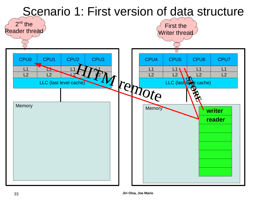

#### 33 **Jiri Olsa, Joe Mario**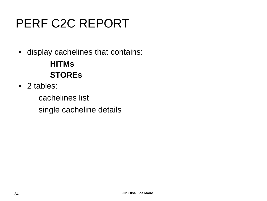### PERF C2C REPORT

• display cachelines that contains:

**HITMs STOREs**

• 2 tables:

cachelines list single cacheline details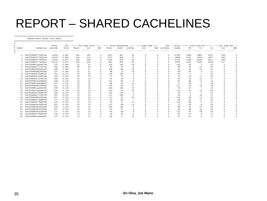#### REPORT – SHARED CACHELINES

=================================================

Shared Data Cache Line Table

#

|         |                    | Total   | Tot   |       | ----- LLC Load Hitm |             |       |       |        | $--- $ $--- $ Store Reference $--- $ $--- $ Load Dram $--- $ |     | LLC      | Total |      |      |                | ----- Core Load Hit ----- -- LLC Load Hit -- |     |
|---------|--------------------|---------|-------|-------|---------------------|-------------|-------|-------|--------|--------------------------------------------------------------|-----|----------|-------|------|------|----------------|----------------------------------------------|-----|
| # Index | Cacheline          | records | Hitm  | Total | Lc1                 | Rmt         | Total | LlHit | LlMiss | Lc1                                                          | Rmt | Ld Miss  | Loads | FB   | L1   | L <sub>2</sub> | Llc                                          | Rmt |
|         |                    |         |       |       |                     |             |       |       |        |                                                              |     |          |       |      |      |                |                                              |     |
|         | 0xffff880477000140 | 12183   | 3.06% | 363   | 363                 | $\mathbf 0$ | 1001  | 961   | 40     |                                                              |     | $\Omega$ | 11182 | 1908 | 5885 | 2572           | 454                                          |     |
|         | 0xffff880277400140 | 11033   | 2.66% | 316   | 316                 |             | 1037  | 990   | 47     |                                                              |     |          | 9996  | 1335 | 5509 | 2367           | 469                                          |     |
|         | 0xffff880477000ec0 | 12142   | 2.07% | 246   | 246                 |             | 1019  | 994   | 25     |                                                              |     |          | 11123 | 1748 | 6049 | 2611           | 469                                          |     |
|         | 0xffff880277400ec0 | 10776   | 2.07% | 245   | 245                 |             | 993   | 965   | 28     |                                                              |     |          | 9783  | 1354 | 5529 | 2238           | 417                                          |     |
|         | 0xffff8801aa0dc780 | 272     | 0.26% | 31    | 31                  |             | 128   | 104   | 24     |                                                              |     |          | 144   | 63   |      | 43             |                                              |     |
|         | 0xffff880277c19740 | 192     | 0.24% | 29    | 29                  |             | 93    | 87    |        |                                                              |     |          | 99    | 25   | 21   | 24             |                                              |     |
|         | 0xffff88046fa91a00 | 189     | 0.18% | 21    | 21                  |             | 108   | 88    | 20     |                                                              |     |          | 81    | 36   | 10   | 14             |                                              |     |
|         | 0xffff88046fa92000 | 147     | 0.18% | 21    | 21                  |             | 88    | 72    | 16     |                                                              |     |          | 59    | 22   |      | 11             |                                              |     |
|         | 0xffff88047fad9700 | 153     | 0.17% | 20    | 20                  |             | 109   | 109   |        |                                                              |     |          | 44    |      |      | 15             |                                              |     |
|         | 0xffff88047fa59740 | 144     | 0.16% | 19    | 19                  |             | 72    | 70    |        |                                                              |     |          | 72    | 22   | 11   | 20             |                                              |     |
|         | 0xffff88047fc59740 | 160     | 0.16% | 19    | 19                  |             | 93    | 85    |        |                                                              |     |          | 67    | 19   | 12   | 17             |                                              |     |
| 11      | 0xffff8801aa0dd600 | 168     | 0.13% | 16    | 16                  |             | 101   | 92    |        |                                                              |     |          | 67    | 26   | 11   | 14             |                                              |     |
| 12      | 0xffff8801aa0de800 | 157     | 0.13% | 16    | 16                  |             | 86    | 76    | 10     |                                                              |     |          | 71    | 28   | 9    | 18             |                                              |     |
| 13      | 0xffff88046fc08980 | 211     | 0.13% | 16    | 16                  | $\Omega$    | 100   | 83    | 17     |                                                              |     |          | 111   | 51   | 10   | 34             |                                              |     |
| 14      | 0xffff8801aa0dc600 | 199     | 0.13% | 15    | 15                  |             | 125   | 106   | 19     |                                                              |     |          | 74    | 40   |      | 12             |                                              |     |
| 15      | 0xffff8801aa0de780 | 230     | 0.13% | 15    | 15                  | $\Omega$    | 116   | 91    | 25     |                                                              |     |          | 114   | 61   | 12   | 26             |                                              |     |
| 16      | 0xffff880277bd9700 | 166     | 0.13% | 15    | 15                  |             | 132   | 129   |        |                                                              |     |          | 34    |      |      | 15             |                                              |     |
|         | 0xffff880277c59700 | 147     | 0.13% | 15    | 15                  | $\Omega$    | 111   | 108   |        |                                                              |     |          | 36    |      | 10   | 11             |                                              |     |
| 18      | 0xffff88046fa92180 | 227     | 0.13% | 15    | 15                  |             | 113   | 93    | 20     |                                                              |     |          | 114   | 56   | 11   | 32             |                                              |     |
| 19      | 0xffff88047fad9740 | 177     | 0.13% | 15    | 15                  |             | 91    | 84    |        |                                                              |     |          | 86    | 32   | 17   | 22             |                                              |     |
| 20      | 0xffff880277bd9780 | 164     | 0.12% | 14    | 14                  |             | 50    | 37    | 13     |                                                              |     |          | 114   | 82   | 6    | 12             |                                              |     |
| 21      | 0xffff88046fa90180 | 187     | 0.12% | 14    | 14                  |             | 112   | 89    | 23     |                                                              |     |          | 75    | 29   |      | 24             |                                              |     |
| 22      | 0xffff88046fa91e00 | 235     | 0.12% | 14    | 14                  |             | 145   | 142   |        |                                                              |     |          | 90    | 30   | 27   | 19             |                                              |     |
| 23      | 0xffff88046fc09480 | 157     | 0.12% | 14    | 14                  |             | 61    | 61    |        |                                                              |     |          | 96    | 48   | 16   | 18             |                                              |     |
| 24      | 0xffff88046fc09c80 | 177     | 0.12% | 14    | 14                  |             | 64    | 64    |        |                                                              |     |          | 113   | 46   | 29   | 24             |                                              |     |
| 25      | 0xffff88047fbd9780 | 142     | 0.12% | 14    | 14                  |             | 50    | 44    |        |                                                              |     |          | 92    | 57   |      | 13             |                                              |     |
| 26      | 0xffff8801aa0dd780 | 137     | 0.11% | 13    | 13                  |             | 86    | 71    | 15     |                                                              |     |          | 51    | 22   |      | 11             |                                              |     |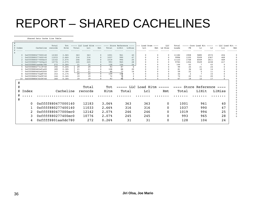#### REPORT – SHARED CACHELINES

=================================================

Shared Data Cache Line Table

|           |                       |                                          | Total      | Tot.           |          | ----- LLC Load Hitm | $------$ |           | ---- Store Reference ---- |              | $---$ Load Dram | $---$    | LLC         | Total     |                | Core<br>Load    |                |        | LLC Load Hit. -- |
|-----------|-----------------------|------------------------------------------|------------|----------------|----------|---------------------|----------|-----------|---------------------------|--------------|-----------------|----------|-------------|-----------|----------------|-----------------|----------------|--------|------------------|
| # Index   |                       | Cacheline records                        |            | Hitm           | Total    | Lc1                 | Rmt.     | Total     | L1Hit                     | LlMiss       | Lc1             |          | Rmt Ld Miss | Loads     | <b>FB</b>      | L <sub>1</sub>  | L <sub>2</sub> | Llc    | Rmt.             |
|           |                       |                                          |            |                |          |                     |          |           |                           |              |                 |          |             |           |                |                 |                |        |                  |
|           | 0 0xffff880477000140  |                                          | 12183      | 3.06%          | 363      | 363                 | $\Omega$ | 1001      | 961                       | 40           | $\Omega$        | $\Omega$ |             | 11182     | 1908           | 5885            | 2572           | 454    | $\Omega$         |
|           |                       | 0xffff880277400140                       | 11033      | 2.66%          | 316      | 316                 | $\Omega$ | 1037      | 990                       | 47           | $\Omega$        | $\Omega$ |             | 9996      | 1335           | 5509            | 2367           | 469    |                  |
|           | 2 0xffff880477000ec0  |                                          | 12142      | 2.07%          | 246      | 246                 | $\Omega$ | 1019      | 994                       | 25           | $\Omega$        |          | $\Omega$    | 11123     | 1748           | 6049            | 2611           | 469    |                  |
|           |                       | 0xffff880277400ec0                       | 10776      | 2.07%          | 245      | 245                 |          | 993       | 965                       | 28           |                 |          |             | 9783      | 1354           | 5529            | 2238           | 417    |                  |
|           |                       | 0xffff8801aa0dc780<br>0xffff880277c19740 | 272<br>192 | 0.26%<br>0.24% | 31<br>29 | 31<br>29            | $\Omega$ | 128<br>93 | 104<br>87                 | 24<br>6      |                 |          |             | 144<br>99 | 63<br>25       | 21              | 43<br>24       |        |                  |
|           | 6 0xffff88046fa91a00  |                                          | 189        | 0.18%          | 21       | 21                  |          | 108       | 88                        | 20           | $\Omega$        |          |             | 81        | 36             | 10              | 14             |        |                  |
|           |                       | 0xffff88046fa92000                       | 147        | 0.18%          | 21       | 21                  | $\Omega$ | 88        | 72                        | 16           | $\Omega$        | $\Omega$ |             | 59        | 22             |                 | 11             |        |                  |
|           | 8 0xffff88047fad9700  |                                          | 153        | 0.17%          | 20       | 20                  | $\Omega$ | 109       | 109                       | $\Omega$     | 0               | $\Omega$ | $\Omega$    | 44        | $\overline{2}$ | $7\phantom{.0}$ | 15             |        |                  |
|           |                       | 0xffff88047fa59740                       | 144        | 0.16%          | 19       | 19                  |          | 72        | 7þ                        | 2            | 0               | 0        | $\Omega$    | 72        | 22             | 11              | 20             |        |                  |
|           | 10 0xffff88047fc59740 |                                          | 160        | 0.16%          | 19       | 19                  |          | 93        | 85                        | $\mathbf{R}$ | $\Omega$        | $\Omega$ |             | 67        | 19             | 12              | 17             |        |                  |
| #         |                       |                                          |            |                |          | Total               |          | Tot       |                           |              | LLC Load Hitm   |          |             |           |                | Store Reference |                |        |                  |
| $\pm$     | Index                 |                                          |            | Cacheline      |          | records             |          | Hitm      |                           | Total        | Lcl             |          | Rmt         |           | Total          | L1Hit           |                | L1Miss |                  |
| $\#$<br># |                       |                                          |            |                |          |                     |          |           |                           |              |                 |          |             |           |                |                 |                |        |                  |
|           | $\Omega$              | 0xffff880477000140                       |            |                |          | 12183               |          | 3.06%     |                           | 363          | 363             |          | 0           |           | 1001           |                 | 961            | 40     |                  |
|           | 1                     | 0xffff880277400140                       |            |                |          | 11033               |          | 2.66%     |                           | 316          | 316             |          | $\Omega$    |           | 1037           |                 | 990            | 47     |                  |
|           | $\overline{2}$        | 0xffff880477000ec0                       |            |                |          | 12142               |          | 2.07%     |                           | 246          | 246             |          | 0           |           | 1019           |                 | 994            | 25     |                  |
|           | 3.                    | 0xffff880277400ec0                       |            |                |          | 10776               |          | 2.07%     |                           | 245          | 245             |          | 0           |           | 993            |                 | 965            | 28     |                  |
|           |                       |                                          |            |                |          |                     |          |           |                           |              |                 |          |             |           |                |                 |                |        |                  |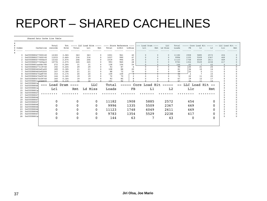#### REPORT – SHARED CACHELINES

=================================================

Shared Data Cache Line Table

|          |                                          | Total      | Tot            |          |          |                      | ----- LLC Load Hitm ----- ---- Store Reference ---- |           |                | $---$ Load Dram $---$ |          | LLC                       |              |                      |                     |                | Total ----- Core Load Hit ----- -- LLC Load Hit -- |     |
|----------|------------------------------------------|------------|----------------|----------|----------|----------------------|-----------------------------------------------------|-----------|----------------|-----------------------|----------|---------------------------|--------------|----------------------|---------------------|----------------|----------------------------------------------------|-----|
| # Index  | Cacheline records                        |            | Hitm           | Total    | Lc1      | Rmt                  | Total                                               | L1Hit     | LlMiss         | Lcl                   |          | Rmt Ld Miss               | Loads        | FB                   | L1                  | L <sub>2</sub> | Llc                                                | Rmt |
|          |                                          |            |                |          |          |                      |                                                     |           | .              | .                     | .        | .                         | .            | .                    | .                   | .              | .                                                  | .   |
|          |                                          |            |                |          |          |                      |                                                     |           |                |                       |          |                           |              |                      |                     |                |                                                    |     |
|          | 0 0xffff880477000140                     | 12183      | 3.06%          | 363      | 363      | $\Omega$             | 1001                                                | 961       | 40             | $\Omega$              | $\Omega$ | $\Omega$                  | 11182        | 1908                 | 5885                | 2572           | 454                                                |     |
|          | 0xffff880277400140                       | 11033      | 2.66%          | 316      | 316      | $\Omega$             | 1037                                                | 990       | 47             |                       |          | $\Omega$                  | 9996         | 1335                 | 5509                | 2367           | 469                                                |     |
|          | 0xffff880477000ec0                       | 12142      | 2.07%          | 246      | 246      | $\Omega$             | 1019                                                | 994       | 25             |                       |          | $\Omega$                  | 11123        | 1748                 | 6049                | 2611           | 469                                                |     |
| 3        | 0xffff880277400ec0                       | 10776      | 2.07%          | 245      | 245      | $\Omega$             | 993                                                 | 965       | 28             |                       |          | $\Omega$                  | 9783         | 1354                 | 5529                | 2238           | 417                                                |     |
|          | 0xffff8801aa0dc780                       | 272        | 0.26%          | 31       | 31       | $\Omega$             | 128                                                 | 104       | 24             | $\Omega$              | $\Omega$ | $\Omega$                  | 144          | 63                   | 7                   | 43             | $\Omega$                                           |     |
|          | 0xffff880277c19740                       | 192        | 0.24%          | 29       | 29       | $\Omega$             | 93                                                  | 87        | 6              | $\Omega$              | $\Omega$ | $\Omega$                  | 99           | 25                   | 21                  | 24             | $\Omega$                                           |     |
|          | 0xffff88046fa91a00                       | 189        | 0.18%          | 21       | 21       | $\Omega$             | 108                                                 | 88        | 20             |                       | $\Omega$ |                           | 81           | 36                   | 10                  | 14             |                                                    |     |
|          | 0xffff88046fa92000<br>0xffff88047fad9700 | 147        | 0.18%          | 21<br>20 | 21<br>20 | $\Omega$<br>$\Omega$ | 88<br>109                                           | 72<br>109 | 16             | $\Omega$              | $\Omega$ | $\Omega$                  | 59<br>$44 -$ | 22<br>$\overline{2}$ | 5<br>$\overline{7}$ | 11<br>15       |                                                    |     |
| 9        | 0xffff88047fa59740                       | 153        | 0.17%<br>0.16% | 19       |          | $\Omega$             |                                                     | 70        | ᠊᠊ᠭ<br>2       |                       |          |                           |              |                      |                     |                |                                                    |     |
|          | 0xffff88047fc59740                       | 144<br>160 | 0.16%          | 19       | 19<br>19 |                      | 72<br>93                                            | 85        |                |                       |          |                           | 72<br>67     | 22<br>19             | 11<br>12            | 20<br>17       |                                                    |     |
| 10<br>11 | 0xffff8801aa0dd600                       | 168        | 0.13%          | 16       | 16       |                      | 101                                                 | 92        |                |                       |          |                           | 67           | 26                   |                     |                |                                                    |     |
| 12       | 0xffff8801a                              |            |                |          |          |                      |                                                     |           |                |                       |          |                           |              |                      |                     |                |                                                    |     |
| 13       | ---<br>0xffff88046                       | Load Dram  |                |          |          | <b>LLC</b>           | Total                                               |           |                |                       |          | $---$ Core Load Hit $---$ |              | -- LLC Load Hit --   |                     |                |                                                    |     |
| 14       | 0xffff8801a                              | Lcl        |                | Rmt      | Ld Miss  |                      | Loads                                               |           | F <sub>B</sub> |                       | L1       | L <sub>2</sub>            |              | Llc                  |                     | Rmt            |                                                    |     |
| 15       | 0xffff8801a                              |            |                |          |          |                      |                                                     |           |                |                       |          |                           |              |                      |                     |                |                                                    |     |
| 16       | 0xffff88027                              |            |                |          |          |                      |                                                     |           |                |                       |          |                           |              |                      |                     |                |                                                    |     |
| 17       | 0xffff88027                              |            |                |          |          |                      |                                                     |           |                |                       |          |                           |              |                      |                     |                |                                                    |     |
| 18       | 0xffff88046                              |            |                |          |          |                      |                                                     |           |                |                       |          |                           |              |                      |                     |                |                                                    |     |
| 19       | 0xffff88047                              |            |                | 0        |          | $\Omega$             | 11182                                               |           | 1908           |                       | 5885     | 2572                      |              | 454                  |                     | 0              |                                                    |     |
| 20       | 0xffff88027                              |            |                |          |          |                      |                                                     |           |                |                       |          |                           |              |                      |                     |                |                                                    |     |
| 21       | 0xffff88046                              |            |                |          |          | 0                    | 9996                                                |           | 1335           |                       | 5509     | 2367                      |              | 469                  |                     | 0              |                                                    |     |
| 22       | 0xffff88046                              |            |                |          |          |                      |                                                     |           |                |                       |          |                           |              |                      |                     |                |                                                    |     |
| 23       | 0xffff88046                              |            |                |          |          | 0                    | 11123                                               |           | 1748           |                       | 6049     | 2611                      |              | 469                  |                     | 0              |                                                    |     |
|          | 0xffff88046<br>0xffff88047               |            |                | 0        |          | 0                    | 9783                                                |           | 1354           |                       | 5529     | 2238                      |              | 417                  |                     | 0              | $\Omega$<br>$\Omega$                               |     |
| 25       | 26 0xffff8801a                           |            |                |          |          |                      |                                                     |           |                |                       |          |                           |              |                      |                     |                |                                                    |     |
|          |                                          |            |                | 0        |          | 0                    | 144                                                 |           | 63             |                       |          | 43                        |              |                      | 0                   | 0              |                                                    |     |
|          |                                          |            |                |          |          |                      |                                                     |           |                |                       |          |                           |              |                      |                     |                |                                                    |     |
|          |                                          |            |                |          |          |                      |                                                     |           |                |                       |          |                           |              |                      |                     |                |                                                    |     |
|          |                                          |            |                |          |          |                      |                                                     |           |                |                       |          |                           |              |                      |                     |                |                                                    |     |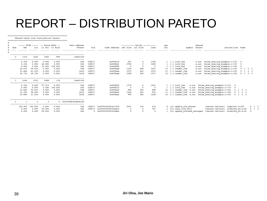=================================================

Shared Cache Line Distribution Pareto

|     |                        |                        | ----- HITM ----- -- Store Refs -- |                         | Data address           |                  |                                |                                 | ---------- cycles ---------- |           | cpu |                                                                      | Shared |                                                                  |                 |                     |
|-----|------------------------|------------------------|-----------------------------------|-------------------------|------------------------|------------------|--------------------------------|---------------------------------|------------------------------|-----------|-----|----------------------------------------------------------------------|--------|------------------------------------------------------------------|-----------------|---------------------|
| Num | Rmt.                   | Lc1                    |                                   | L1 Hit L1 Miss          | Offset                 | Pid              | Code address rmt hitm lcl hitm |                                 |                              | load      | cnt | Symbol                                                               | Object | Source: Line Node                                                |                 |                     |
|     |                        |                        |                                   |                         |                        |                  |                                | .                               |                              |           |     |                                                                      |        |                                                                  |                 |                     |
|     | 1310                   | 1630                   | 1583                              | 999                     | 0x602100               |                  |                                |                                 |                              |           |     |                                                                      |        |                                                                  |                 |                     |
|     | 0.76%                  | 0.00%                  | 0.00%                             | 0.00%                   | 0x0                    | 108517           | 0x400b7a                       | 597                             | $\mathbf 0$                  | 1158      |     | $1 \quad [\cdot]$ lock thd                                           | a.out  | false sharing example.c:134                                      |                 |                     |
|     | 0.15%                  | 0.00%                  | 66.08%                            | 0.00%                   | 0x0                    | 108517           | 0x400b61                       | 2780                            | $\mathbf 0$                  | 1569      |     | $1 \t[\cdot] \text{lock}$ thd                                        |        | a.out false_sharing_example.c:132                                |                 |                     |
|     | 0.00%                  | 0.00%                  | 33.92%                            | 100.00%                 | 0x0                    | 108517           | 0x400b85                       | $\overline{\mathbf{0}}$         | $^{\circ}$                   | - 0       |     | $1 \t[\cdot] \text{lock}$ thd                                        | a.out  | false sharing example.c:134                                      |                 |                     |
|     | 32.67%                 | 29.02%                 | 0.00%                             | 0.00%                   | 0x8                    | 108517           | $0x400$ bab                    | 1100                            | 498                          | 1021      |     | 12 [.] reader thd                                                    |        | a.out false sharing_example.c:145                                |                 | $0 \t1 \t2 \t3$     |
|     | 31.68%                 | 41.23%                 | 0.00%                             | 0.00%                   | 0x10                   | 108517           | $0x400$ bab                    | 1075                            | 542                          | 1074      |     | 11 [.] reader thd                                                    | a.out  | false sharing_example.c:145                                      |                 | $0 \t1 \t2 \t3$     |
|     | 34.73%                 | 29.75%                 | 0.00%                             | 0.00%                   | 0x18                   | 108517           | $0x400$ bab                    | 1008                            | 429                          | 1077      |     | 12 [.] reader thd                                                    |        | a.out false sharing example.c:145                                |                 | $0 \t1 \t2 \t3$     |
|     | 1240<br>0.16%<br>0.00% | 1515<br>0.00%<br>0.00% | 3088<br>97.51%<br>2.49%           | 178<br>0.00%<br>100.00% | 0x602140<br>0x0<br>0x0 | 108517<br>108517 | 0x400b55<br>0x400b73           | 1379<br>$\overline{\mathbf{0}}$ | $^{\circ}$                   | 1441<br>0 |     | $1 \quad [\cdot]$ lock thd<br>a.out<br>$1 \t[\cdot] \text{lock}$ thd |        | false sharing example.c:131<br>a.out false_sharing_example.c:133 |                 |                     |
|     | 32.66%                 | 30.43%                 | 0.00%                             | 0.00%                   | 0x8                    | 108517           | 0x400ba0                       | 994                             | 383                          | 998       |     |                                                                      |        | 12 [.] reader_thd a.out false_sharing_example.c:144              | $0 \t1 \t2 \t3$ |                     |
|     | 31.29%                 | 38.02%                 | 0.00%                             | 0.00%                   | 0x10                   | 108517           | 0x400ba0                       | 1046                            | 423                          | 976       |     |                                                                      |        | 11 [.] reader thd a.out false sharing example.c:144              | $0 \t1 \t2 \t3$ |                     |
|     | 35.89%                 | 31.55%                 | 0.00%                             | 0.00%                   | 0x18                   | 108517           | 0x400ba0                       | 999                             | 384                          | 1028      |     |                                                                      |        | 12 [.] reader thd a.out false sharing example.c:144              | $0 \t1 \t2 \t3$ |                     |
|     |                        |                        |                                   | 0                       | 0xffff887bfd04b100     |                  |                                |                                 |                              |           |     |                                                                      |        |                                                                  |                 |                     |
|     | 100.00%                | 100.00%                | 0.00%                             | 0.00%                   | 0x0                    | 108517           | 0xffffffff610c7f0f             | 2541                            | 124                          | 474       |     | [k] update cfs shares                                                |        | [kernel.vmlinux]<br>compiler.h:243                               |                 | $0 \quad 1 \quad 3$ |
|     | 0.00%                  | 0.00%                  | 50.00%                            | 0.00%                   | 0x0                    | 108517           | 0xfffffffff810cbd10            | $\overline{0}$                  | $^{\circ}$                   | 767       |     | 3 [k] task tick fair                                                 |        | [kernel.vmlinux]<br>atomic64 64.h:45                             |                 | 1 2                 |
|     | 0.00%                  | 0.00%                  | 50.00%                            | 0.00%                   | 0x0                    |                  | 0xffffffff610c4bb4             | $\Omega$                        | $\Omega$                     | $\Omega$  |     | [k] update blocked averages                                          |        | [kernel.vmlinux]<br>atomic64 64.h:45                             |                 |                     |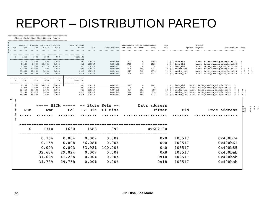=================================================

Shared Cache Line Distribution Pareto

| Num          | Rmt                  | Lcl                  | ----- HITM ----- -- Store Refs -- | L1 Hit L1 Miss          | Data address | Offset     | Pid              | Code address         | rmt hitm lcl hitm      | ---------- cycles ---------- | load                   | cpu<br>cnt |                                                                | Shared<br>Symbol Object |                                                                          | Source: Line Node       |                         |                              |
|--------------|----------------------|----------------------|-----------------------------------|-------------------------|--------------|------------|------------------|----------------------|------------------------|------------------------------|------------------------|------------|----------------------------------------------------------------|-------------------------|--------------------------------------------------------------------------|-------------------------|-------------------------|------------------------------|
|              |                      |                      |                                   |                         |              |            | .                | .                    |                        |                              | .                      |            |                                                                |                         |                                                                          |                         |                         |                              |
|              |                      |                      |                                   |                         |              |            |                  |                      |                        |                              |                        |            |                                                                |                         |                                                                          |                         |                         |                              |
|              | 1310                 | 1630                 | 1583                              | 999                     |              | 0x602100   |                  |                      |                        |                              |                        |            |                                                                |                         |                                                                          |                         |                         |                              |
|              |                      |                      |                                   |                         |              |            |                  |                      |                        |                              |                        |            |                                                                |                         |                                                                          |                         |                         |                              |
|              | 0.76%                | 0.00%                | 0.00%                             | 0.00%                   |              | 0x0        | 108517           | 0x400b7a             | 597                    | $^{\circ}$                   | 1158                   |            | $1 \t[\cdot] \text{lock}$ thd                                  | a.out                   | false sharing example.c:134                                              |                         | $\overline{\mathbf{0}}$ |                              |
|              | 0.15%<br>0.00%       | 0.00%<br>0.00%       | 66.08%                            | 0.00%<br>33.92% 100.00% |              | 0x0<br>0x0 | 108517<br>108517 | 0x400b61<br>0x400b85 | 2780<br>$\overline{0}$ | $^{\circ}$<br>$^{\circ}$     | 1569<br>$\overline{0}$ |            | $1 \t[\cdot] \text{lock}$ thd<br>$1 \t[\cdot] \text{lock}$ thd | a.out<br>a.out          | false sharing example.c:132<br>false sharing example.c:134               |                         | $\mathbf 0$<br>$\Omega$ |                              |
|              | 32.67%               | 29.02%               | 0.00%                             | 0.00%                   |              | 0x8        | 108517           | $0x400$ bab          | 1100                   | 498                          | 1021                   |            | 12 [.] reader thd                                              | a.out                   | false sharing example.c:145                                              |                         |                         | $0 \t1 \t2 \t3$              |
|              | 31.68%               | 41.23%               | 0.00%                             | 0.00%                   |              | 0x10       | 108517           | $0x400$ bab          | 1075                   | 542                          | 1074                   |            | 11 [.] reader thd                                              | a.out                   | false sharing example.c:145                                              |                         |                         | $0 \t1 \t2 \t3$              |
|              |                      | 34.73% 29.75%        | 0.00%                             | 0.00%                   |              | 0x18       | 108517           | $0x400$ bab          | 1008                   | 429                          | 1077                   |            | 12 [.] reader thd                                              | a.out                   | false sharing example.c:145                                              |                         |                         | $0 \t1 \t2 \t3$              |
|              |                      |                      |                                   |                         |              |            |                  |                      |                        |                              |                        |            |                                                                |                         |                                                                          |                         |                         |                              |
|              | 1240                 | 1515                 | 3088                              | 178                     |              | 0x602140   |                  |                      |                        |                              |                        |            |                                                                |                         |                                                                          |                         |                         |                              |
|              | 0.16%                | $0.00$ <sup>\$</sup> | 97.51%                            | 0.00%                   |              |            | 108517           |                      | 1379                   | $\mathbf 0$                  |                        |            |                                                                |                         |                                                                          |                         |                         |                              |
|              | 0.00%                | 0.00%                | 2.49%                             | 100.00%                 |              | 0x0<br>0x0 | 108517           | 0x400b55<br>0x400b73 | $\overline{0}$         | $\mathbf 0$                  | 1441<br>$\mathbf 0$    |            | $1 \quad [\cdot]$ lock thd<br>$1 \t[\cdot] \text{lock}$ thd    |                         | a.out false sharing example.c:131 0<br>a.out false sharing example.c:133 | $\overline{\mathbf{0}}$ |                         |                              |
|              | 32.66%               | 30.43%               | 0.00%                             | 0.00%                   |              | 0x8        | 108517           | 0x400ba0             | 994                    | 383                          | 998                    | 12         |                                                                |                         | [.] reader thd a.out false sharing example.c:144                         |                         | 0 1 2 3                 |                              |
|              | 31.29%               | 38.02%               | 0.00%                             | 0.00%                   |              | 0x10       | 108517           | 0x400ba0             | 1046                   | 423                          | 976                    | 11         |                                                                |                         | [.] reader thd a.out false sharing example.c:144                         |                         | $0 \t1 \t2 \t3$         |                              |
|              | 35.89%               | 31.55%               | $0.00$ <sup>\$</sup>              | 0.00%                   |              | 0x18       | 108517           | 0x400ba0             | 999                    | 384                          | 1028                   |            |                                                                |                         | 12 [.] reader thd a.out false sharing example.c:144 0 1 2 3              |                         |                         |                              |
| $\pmb{\ast}$ |                      |                      |                                   |                         |              |            |                  |                      |                        |                              |                        |            |                                                                |                         |                                                                          |                         |                         |                              |
|              |                      |                      |                                   |                         |              |            |                  |                      |                        |                              |                        |            |                                                                |                         |                                                                          |                         |                         |                              |
| $\pmb{\ast}$ |                      |                      |                                   | HITM                    |              |            |                  | -- Store Refs --     |                        |                              | Data address           |            |                                                                |                         |                                                                          |                         | l 3                     | $0 \quad 1 \quad 3$          |
| $\pmb{\ast}$ | Num                  |                      | Rmt                               |                         | Lc1          |            | L1 Hit           | L1 Miss              |                        |                              |                        | Offset     | Pid                                                            |                         | Code address                                                             |                         | 1:45                    | $1\quad 2$<br>$\overline{0}$ |
|              |                      |                      |                                   |                         |              |            |                  |                      |                        |                              |                        |            |                                                                |                         |                                                                          |                         | $\frac{1}{2}$ : 45      | $\overline{0}$               |
| $\pmb{\ast}$ | $\ddot{\phantom{0}}$ |                      |                                   |                         |              |            |                  |                      |                        |                              |                        |            |                                                                |                         |                                                                          |                         |                         |                              |
| $\#$         |                      |                      |                                   |                         |              |            |                  |                      |                        |                              |                        |            |                                                                |                         |                                                                          |                         |                         |                              |
|              |                      |                      |                                   |                         |              |            |                  |                      |                        |                              |                        |            |                                                                |                         |                                                                          |                         |                         |                              |
|              |                      |                      |                                   |                         |              |            |                  |                      |                        |                              |                        |            |                                                                |                         |                                                                          |                         |                         |                              |
|              |                      | 0                    | 1310                              |                         | 1630         |            | 1583             | 999                  |                        |                              |                        | 0x602100   |                                                                |                         |                                                                          |                         |                         |                              |
|              |                      |                      |                                   |                         |              |            |                  |                      |                        |                              |                        |            |                                                                |                         |                                                                          |                         |                         |                              |
|              |                      |                      |                                   |                         |              |            |                  |                      |                        |                              |                        |            |                                                                |                         |                                                                          |                         |                         |                              |
|              |                      |                      | 0.76%                             |                         | 0.00%        |            | 0.00%            | 0.00%                |                        |                              |                        | 0x0        | 108517                                                         |                         |                                                                          | 0x400b7a                |                         |                              |
|              |                      |                      |                                   |                         |              |            |                  |                      |                        |                              |                        |            |                                                                |                         |                                                                          |                         |                         |                              |
|              |                      |                      | 0.15%                             |                         | 0.00%        |            | 66.08%           | 0.00%                |                        |                              |                        | 0x0        | 108517                                                         |                         |                                                                          | 0x400b61                |                         |                              |
|              |                      |                      | 0.00%                             |                         | 0.00%        |            | 33.92%           | 100.00%              |                        |                              |                        | 0x0        | 108517                                                         |                         |                                                                          | 0x400b85                |                         |                              |
|              |                      |                      |                                   |                         |              |            |                  |                      |                        |                              |                        |            |                                                                |                         |                                                                          |                         |                         |                              |
|              |                      |                      | 32.67%                            |                         | 29.02%       |            | 0.00%            | 0.00%                |                        |                              |                        | 0x8        | 108517                                                         |                         |                                                                          | $0x400$ bab             |                         |                              |
|              |                      |                      | 31.68%                            |                         | 41.23%       |            | 0.00%            | 0.00%                |                        |                              |                        | 0x10       | 108517                                                         |                         |                                                                          | $0x400$ bab             |                         |                              |
|              |                      |                      |                                   |                         |              |            |                  |                      |                        |                              |                        |            |                                                                |                         |                                                                          |                         |                         |                              |
|              |                      |                      | 34.73%                            |                         | 29.75%       |            | 0.00%            | 0.00%                |                        |                              |                        | 0x18       | 108517                                                         |                         |                                                                          | $0x400$ bab             |                         |                              |
|              |                      |                      |                                   |                         |              |            |                  |                      |                        |                              |                        |            |                                                                |                         |                                                                          |                         |                         |                              |
|              |                      |                      |                                   |                         |              |            |                  |                      |                        |                              |                        |            |                                                                |                         |                                                                          |                         |                         |                              |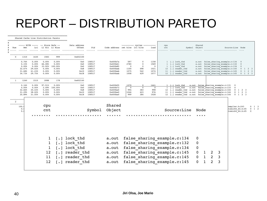| $Rm+$                                                 | Lcl                                                   |                                                                                                   |                                                           | Data address<br>Offset                                                                                                  | Pid                                                      |                                                                               |                                                       |                                                               | load                                             | cpu<br>cnt                   |                                  |                                                                                                                                                                                                                       |                                                                                                                                                     |                                                                      |                        |   |                                                                                                                                                                                                                                                                                                                                                                                                       |                                                                                                                                                                |
|-------------------------------------------------------|-------------------------------------------------------|---------------------------------------------------------------------------------------------------|-----------------------------------------------------------|-------------------------------------------------------------------------------------------------------------------------|----------------------------------------------------------|-------------------------------------------------------------------------------|-------------------------------------------------------|---------------------------------------------------------------|--------------------------------------------------|------------------------------|----------------------------------|-----------------------------------------------------------------------------------------------------------------------------------------------------------------------------------------------------------------------|-----------------------------------------------------------------------------------------------------------------------------------------------------|----------------------------------------------------------------------|------------------------|---|-------------------------------------------------------------------------------------------------------------------------------------------------------------------------------------------------------------------------------------------------------------------------------------------------------------------------------------------------------------------------------------------------------|----------------------------------------------------------------------------------------------------------------------------------------------------------------|
|                                                       |                                                       |                                                                                                   |                                                           |                                                                                                                         |                                                          |                                                                               |                                                       |                                                               |                                                  |                              |                                  |                                                                                                                                                                                                                       |                                                                                                                                                     |                                                                      |                        |   |                                                                                                                                                                                                                                                                                                                                                                                                       |                                                                                                                                                                |
| 0.76%<br>0.15%<br>0.00%<br>32.67%<br>31.68%<br>34.73% | 0.00%<br>0.00%<br>0.00%<br>29.02%<br>41.23%<br>29.75% | $0.00$ <sup>\$</sup><br>66.08%<br>33.92%<br>$0.00$ <sup>\$</sup><br>$0.00$ <sup>\$</sup><br>0.00% | .<br>0.00%<br>0.00%<br>100.00%<br>0.00%<br>0.00%<br>0.00% | ------------------<br>0x0<br>0x0<br>0x0<br>0x8<br>0x10<br>0x18                                                          | 108517<br>108517<br>108517<br>108517<br>108517<br>108517 | 0x400b7a<br>0x400b61<br>0x400b85<br>$0x400$ bab<br>$0x400$ bab<br>$0x400$ bab | 597<br>2780<br>$\overline{0}$<br>1100<br>1075<br>1008 | $\mathbf 0$<br>$\mathbf 0$<br>$^{\circ}$<br>498<br>542<br>429 | 1158<br>1569<br>$\Omega$<br>1021<br>1074<br>1077 | 12<br>11                     | [.] reader thd<br>[.] reader thd |                                                                                                                                                                                                                       |                                                                                                                                                     |                                                                      |                        |   | $\overline{0}$<br>$\mathbf{0}$<br>$\Omega$<br>$\overline{0}$                                                                                                                                                                                                                                                                                                                                          | 1 2 3<br>$0 \t1 \t2 \t3$<br>$0 \t1 \t2 \t3$                                                                                                                    |
| 1240                                                  | 1515                                                  | 3088                                                                                              | 178                                                       | 0x602140                                                                                                                |                                                          |                                                                               |                                                       |                                                               |                                                  |                              |                                  |                                                                                                                                                                                                                       |                                                                                                                                                     |                                                                      |                        |   |                                                                                                                                                                                                                                                                                                                                                                                                       |                                                                                                                                                                |
| 0.16%<br>0.00%<br>32.66%<br>31.29%                    | 0.00%<br>0.00%<br>30.43%<br>38.02%                    | 97.51%<br>2.49%<br>0.00%<br>0.00%<br>$0.00$ <sup>\$</sup>                                         | 0.00%<br>100.00%<br>0.00%<br>0.00%<br>0.00%               | 0x0<br>0x0<br>0x8<br>0x10<br>0x18                                                                                       | 108517<br>108517<br>108517<br>108517<br>108517           | 0x400b55<br>0x400b73<br>0x400ba0<br>0x400ba0<br>0x400ba0                      | 1379<br>$\overline{\mathbf{0}}$<br>994<br>1046<br>999 | $\mathbf 0$<br>$\mathbf 0$<br>383<br>423<br>384               | 1441<br>$\mathbf 0$<br>998<br>976<br>1028        | 12                           |                                  |                                                                                                                                                                                                                       |                                                                                                                                                     |                                                                      |                        |   |                                                                                                                                                                                                                                                                                                                                                                                                       |                                                                                                                                                                |
| -----------                                           |                                                       |                                                                                                   |                                                           |                                                                                                                         |                                                          |                                                                               |                                                       |                                                               |                                                  |                              |                                  |                                                                                                                                                                                                                       |                                                                                                                                                     |                                                                      |                        |   |                                                                                                                                                                                                                                                                                                                                                                                                       |                                                                                                                                                                |
| 100.<br>0.<br>0.                                      |                                                       |                                                                                                   |                                                           |                                                                                                                         |                                                          | Object                                                                        |                                                       |                                                               |                                                  |                              |                                  |                                                                                                                                                                                                                       |                                                                                                                                                     |                                                                      |                        |   |                                                                                                                                                                                                                                                                                                                                                                                                       | $0 \t1 \t3$<br>$\mathbf 0$<br>1<br>$\Omega$                                                                                                                    |
|                                                       |                                                       |                                                                                                   |                                                           |                                                                                                                         |                                                          |                                                                               |                                                       |                                                               |                                                  |                              |                                  |                                                                                                                                                                                                                       |                                                                                                                                                     |                                                                      |                        |   |                                                                                                                                                                                                                                                                                                                                                                                                       |                                                                                                                                                                |
|                                                       |                                                       |                                                                                                   |                                                           |                                                                                                                         |                                                          |                                                                               |                                                       |                                                               |                                                  |                              |                                  |                                                                                                                                                                                                                       |                                                                                                                                                     |                                                                      |                        |   |                                                                                                                                                                                                                                                                                                                                                                                                       |                                                                                                                                                                |
|                                                       |                                                       |                                                                                                   |                                                           | lock thd                                                                                                                |                                                          | a.out                                                                         |                                                       |                                                               |                                                  |                              |                                  | $\mathbf 0$                                                                                                                                                                                                           |                                                                                                                                                     |                                                                      |                        |   |                                                                                                                                                                                                                                                                                                                                                                                                       |                                                                                                                                                                |
|                                                       |                                                       |                                                                                                   |                                                           |                                                                                                                         |                                                          |                                                                               |                                                       |                                                               |                                                  |                              |                                  |                                                                                                                                                                                                                       |                                                                                                                                                     |                                                                      |                        |   |                                                                                                                                                                                                                                                                                                                                                                                                       |                                                                                                                                                                |
|                                                       |                                                       |                                                                                                   |                                                           | lock thd                                                                                                                |                                                          |                                                                               |                                                       |                                                               |                                                  |                              |                                  |                                                                                                                                                                                                                       |                                                                                                                                                     |                                                                      |                        |   |                                                                                                                                                                                                                                                                                                                                                                                                       |                                                                                                                                                                |
|                                                       |                                                       |                                                                                                   |                                                           |                                                                                                                         |                                                          |                                                                               |                                                       |                                                               |                                                  |                              |                                  |                                                                                                                                                                                                                       |                                                                                                                                                     |                                                                      |                        |   |                                                                                                                                                                                                                                                                                                                                                                                                       |                                                                                                                                                                |
|                                                       |                                                       | 11                                                                                                |                                                           |                                                                                                                         |                                                          |                                                                               |                                                       |                                                               |                                                  |                              |                                  |                                                                                                                                                                                                                       |                                                                                                                                                     |                                                                      |                        |   |                                                                                                                                                                                                                                                                                                                                                                                                       |                                                                                                                                                                |
|                                                       |                                                       |                                                                                                   | $\lceil$ . $\rceil$                                       | reader thd                                                                                                              |                                                          | a.out                                                                         |                                                       |                                                               |                                                  |                              | false sharing example.c:145      | $\overline{0}$                                                                                                                                                                                                        |                                                                                                                                                     | $\overline{2}$                                                       | 3                      |   |                                                                                                                                                                                                                                                                                                                                                                                                       |                                                                                                                                                                |
|                                                       | 1310<br>-----------                                   | 1630<br>35.89% 31.55%                                                                             | 1583                                                      | Shared Cache Line Distribution Pareto<br>----- HITM ----- -- Store Refs --<br>L1 Hit L1 Miss<br>999<br>cpu<br>cnt<br>12 | 0x602100<br>t • 1<br>lock thd<br>$\cdot$ $\cdot$         | reader thd                                                                    | Shared<br>Symbol<br>a.out<br>a.out<br>a.out           |                                                               | Code address rmt hitm lcl hitm                   | ---------- cycles ---------- |                                  | $1 \t[\cdot] \text{lock}$ thd<br>$1 \t[\cdot] \text{lock}$ thd<br>$1 \t[\cdot] \text{lock}$ thd<br>12 [.] reader thd<br>$1 \t[\cdot] \text{lock}$ thd<br>$1 \t[\cdot] \text{lock}$ thd<br>false sharing example.c:134 | Source:Line<br>false sharing example.c:132<br>$\mathbf 0$<br>$\pmb{0}$<br>false sharing example.c:134<br>false sharing example.c:145<br>$\mathbf 0$ | Shared<br>Symbol Object<br>a.out<br>a.out<br>a.out<br>a.out<br>a.out | Node<br>$\overline{2}$ | 3 | false sharing example.c:134<br>false sharing example.c:132<br>false sharing example.c:134<br>false sharing example.c:145<br>false sharing example.c:145<br>a.out false sharing example.c:131 0<br>a.out false sharing example.c:133<br>[.] reader thd a.out false sharing example.c:144<br>11 [.] reader thd a.out false sharing example.c:144<br>12 [.] reader thd a.out false sharing example.c:144 | Source: Line Node<br>a.out false sharing example.c:145<br>$0 \t1 \t2 \t3$<br>$0 \t1 \t2 \t3$<br>0 1 2 3<br>ompiler.h:243<br>tomic64 64.h:45<br>tomic64 64.h:45 |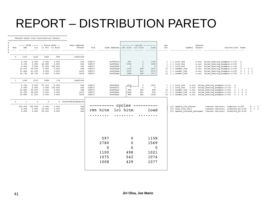|  | Shared Cache Line Distribution Pareto |  |
|--|---------------------------------------|--|

|     |                 |                 | ----- HITM ----- -- Store Refs --     |                         | Data address<br>Offset      | Pid              |                                 |                        | ---------- cycles ----------<br>rmt hitm lcl hitm |                        | cpu      |                                        | Shared             |                                                            |                         |                                      |                     |
|-----|-----------------|-----------------|---------------------------------------|-------------------------|-----------------------------|------------------|---------------------------------|------------------------|---------------------------------------------------|------------------------|----------|----------------------------------------|--------------------|------------------------------------------------------------|-------------------------|--------------------------------------|---------------------|
| Num |                 | Lcl             |                                       | L1 Hit L1 Miss<br>.     |                             | .                | Code address<br>. <b>.</b><br>. |                        | .                                                 | load<br>.              | cnt<br>. |                                        | Symbol Object<br>. |                                                            | Source: Line Node       |                                      |                     |
|     |                 |                 |                                       |                         |                             |                  |                                 |                        |                                                   |                        |          |                                        |                    |                                                            |                         |                                      |                     |
|     | 1310            | 1630            | 1583                                  | 999                     | 0x602100                    |                  |                                 |                        |                                                   |                        |          |                                        |                    |                                                            |                         |                                      |                     |
|     | .               | --------        | -------                               |                         | --------------------------- |                  |                                 |                        |                                                   |                        |          |                                        |                    |                                                            |                         |                                      |                     |
|     | 0.76%           | 0.00%           | 0.00%                                 | 0.00%                   | 0x0                         | 108517           | 0x400b7a                        | 597                    | $\overline{0}$                                    | 1158                   |          | $1 \t[\cdot] \tlock \tthat$            |                    | a.out false sharing example.c:134                          |                         | $\overline{\mathbf{0}}$              |                     |
|     | 0.15%           | 0.00%           | 66.08%                                | 0.00%                   | 0x0                         | 108517           | 0x400b61                        | 2780                   | $\mathbb O$                                       | 1569                   |          | $1 \t[\cdot] \text{lock}$ thd          | a.out              | false sharing example.c:132                                |                         | $\overline{\mathbf{0}}$              |                     |
|     | 0.00%<br>32.67% | 0.00%<br>29.02% | $0.00$ <sup>\$</sup>                  | 33.92% 100.00%<br>0.00% | 0x0<br>0x8                  | 108517<br>108517 | 0x400b85<br>$0x400$ bab         | $\overline{0}$<br>1100 | $\overline{0}$<br>498                             | $\overline{0}$<br>1021 |          | $1 \t[\cdot] \text{lock}$ thd          | a.out<br>a.out     | false sharing example.c:134                                |                         | $\mathbf 0$<br>$\mathbf{0}$<br>1 2 3 |                     |
|     | 31.68%          | 41.23%          | 0.00%                                 | 0.00%                   | 0x10                        | 108517           | $0x400$ bab                     | 1075                   | 542                                               | 1074                   |          | 12 [.] reader thd<br>11 [.] reader thd | a.out              | false sharing example.c:145<br>false sharing example.c:145 |                         | 1 2 3<br>$\mathbf{0}$                |                     |
|     | 34.73%          | 29.75%          | $0.00$ <sup>\$</sup>                  | 0.00%                   | 0x18                        | 108517           | $0x400$ bab                     | 1008                   | 429                                               | 1077                   |          | 12 [.] reader thd                      |                    | a.out false sharing example.c:145                          |                         | $0 \t1 \t2 \t3$                      |                     |
|     |                 |                 |                                       |                         |                             |                  |                                 |                        |                                                   |                        |          |                                        |                    |                                                            |                         |                                      |                     |
|     | 1240            | 1515            | 3088                                  | 178                     | -------<br>0x602140         |                  |                                 |                        |                                                   |                        |          |                                        |                    |                                                            |                         |                                      |                     |
|     | 0.16%           | 0.00%           | 97.51%                                | 0.00%                   | ---------<br>0x0            | 108517           | 0x400b55                        | 1379                   | $\overline{\mathbf{0}}$                           | 1441                   |          | $1 \t[\cdot] \tlock \tthat$            |                    | a.out false sharing example.c:131 0                        |                         |                                      |                     |
|     | 0.00%           | 0.00%           |                                       | 2.49% 100.00%           | 0x0                         | 108517           | 0x400b73                        | $\mathbf 0$            | $\overline{0}$                                    | $\mathbf 0$            |          | $1 \t[\cdot] \text{lock}$ thd          |                    | a.out false sharing example.c:133                          | $\overline{\mathbf{0}}$ |                                      |                     |
|     | 32.66%          | 30.43%          | 0.00%                                 | 0.00%                   | 0x8                         | 108517           | 0x400ba0                        | 994                    | 383                                               | 998                    | 12       | [.] reader thd a.out                   |                    | false sharing example.c:144                                |                         | $0 \t1 \t2 \t3$                      |                     |
|     | 31.29%          | 38.02%          | 0.00%                                 | 0.00%                   | 0x10                        | 108517           | 0x400ba0                        | 1046                   | 423                                               | 976                    | 11       |                                        |                    | [.] reader thd a.out false sharing example.c:144           |                         | $0 \t1 \t2 \t3$                      |                     |
|     | 35.89%          | 31.55%          | 0.00%                                 | 0.00%                   | 0x18                        | 108517           | 0x400ba0                        | 999                    | 384                                               | 1028                   |          |                                        |                    | 12 [.] reader thd a.out false sharing example.c:144        |                         | $0 \t1 \t2 \t3$                      |                     |
|     |                 |                 |                                       |                         |                             |                  |                                 |                        |                                                   |                        |          |                                        |                    |                                                            |                         |                                      |                     |
|     | $\overline{1}$  | $\overline{2}$  | $\overline{2}$                        | $\Omega$                | 0xffff887bfd04b100          |                  |                                 |                        |                                                   |                        |          |                                        |                    |                                                            |                         |                                      |                     |
|     | 100.00% 100.00% |                 | ----------------------------<br>0.00% | 0.00%                   | 0x0                         |                  |                                 | cycles                 |                                                   |                        |          | [k] update cfs shares                  |                    | [kernel.vmlinux]                                           | compiler.h:243          |                                      | $0 \quad 1 \quad 3$ |
|     | 0.00%           | 0.00%           | 50.00%                                | 0.00%                   | 0x0                         |                  | rmt hitm                        | lcl hitm               |                                                   | load                   |          | [k] task tick fair                     |                    | [kernel.vmlinux]                                           | atomic64 64.h:45        |                                      | $0 \quad 1 \quad 2$ |
|     | 0.00%           | 0.00%           | 50.00%                                | 0.00%                   | 0x0                         |                  |                                 |                        |                                                   |                        |          | [k] update blocked averages            |                    | [kernel.vmlinux]                                           | atomic64 64.h:45        |                                      | $^{\circ}$          |
|     |                 |                 |                                       |                         |                             |                  |                                 |                        |                                                   |                        |          |                                        |                    |                                                            |                         |                                      |                     |
|     |                 |                 |                                       |                         |                             |                  |                                 |                        |                                                   |                        |          |                                        |                    |                                                            |                         |                                      |                     |
|     |                 |                 |                                       |                         |                             |                  |                                 |                        |                                                   |                        |          |                                        |                    |                                                            |                         |                                      |                     |
|     |                 |                 |                                       |                         |                             |                  |                                 |                        |                                                   |                        |          |                                        |                    |                                                            |                         |                                      |                     |
|     |                 |                 |                                       |                         |                             |                  |                                 |                        |                                                   |                        |          |                                        |                    |                                                            |                         |                                      |                     |
|     |                 |                 |                                       |                         |                             |                  |                                 |                        |                                                   |                        |          |                                        |                    |                                                            |                         |                                      |                     |
|     |                 |                 |                                       |                         |                             |                  |                                 |                        |                                                   |                        |          |                                        |                    |                                                            |                         |                                      |                     |
|     |                 |                 |                                       |                         |                             |                  | 597                             | 0                      |                                                   | 1158                   |          |                                        |                    |                                                            |                         |                                      |                     |
|     |                 |                 |                                       |                         |                             |                  | 2780                            |                        |                                                   | 1569                   |          |                                        |                    |                                                            |                         |                                      |                     |
|     |                 |                 |                                       |                         |                             |                  |                                 | 0                      |                                                   |                        |          |                                        |                    |                                                            |                         |                                      |                     |
|     |                 |                 |                                       |                         |                             |                  | 0                               | 0                      |                                                   | 0                      |          |                                        |                    |                                                            |                         |                                      |                     |
|     |                 |                 |                                       |                         |                             |                  | 1100                            | 498                    |                                                   | 1021                   |          |                                        |                    |                                                            |                         |                                      |                     |
|     |                 |                 |                                       |                         |                             |                  | 1075                            | 542                    |                                                   | 1074                   |          |                                        |                    |                                                            |                         |                                      |                     |
|     |                 |                 |                                       |                         |                             |                  |                                 |                        |                                                   |                        |          |                                        |                    |                                                            |                         |                                      |                     |
|     |                 |                 |                                       |                         |                             |                  | 1008                            | 429                    |                                                   | 1077                   |          |                                        |                    |                                                            |                         |                                      |                     |
|     |                 |                 |                                       |                         |                             |                  |                                 |                        |                                                   |                        |          |                                        |                    |                                                            |                         |                                      |                     |
|     |                 |                 |                                       |                         |                             |                  |                                 |                        |                                                   |                        |          |                                        |                    |                                                            |                         |                                      |                     |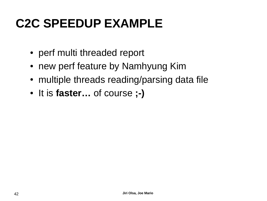- perf multi threaded report
- new perf feature by Namhyung Kim
- multiple threads reading/parsing data file
- It is **faster…** of course **;-)**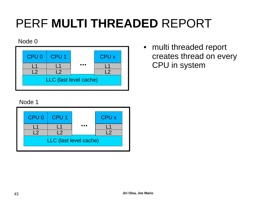# PERF **MULTI THREADED** REPORT

#### Node 0



• multi threaded report creates thread on every CPU in system

#### Node 1

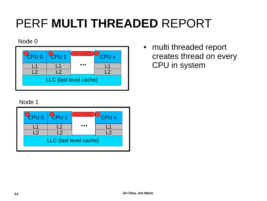# PERF **MULTI THREADED** REPORT

#### Node 0

|                        | <b>CPUO</b> | CPU1 |   | CPU x |  |  |  |  |  |  |
|------------------------|-------------|------|---|-------|--|--|--|--|--|--|
|                        |             |      | . |       |  |  |  |  |  |  |
|                        | C           |      |   |       |  |  |  |  |  |  |
| LLC (last level cache) |             |      |   |       |  |  |  |  |  |  |
|                        |             |      |   |       |  |  |  |  |  |  |

• multi threaded report creates thread on every CPU in system

#### Node 1

| CPU 0 | CPU <sub>1</sub>       |       | CPU x |
|-------|------------------------|-------|-------|
|       | 2                      | 7 I D |       |
|       | LLC (last level cache) |       |       |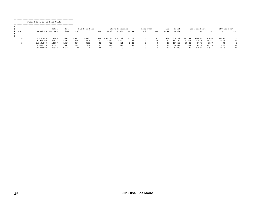Shared Data Cache Line Table =================================================

|         |                   | Total   |        |       |       |     |         |         |        | Tot ----- LLC Load Hitm ----- ---- Store Reference ---- --- Load Dram ---- |     | LLC           |         |        |        |                | $Total$ ----- Core Load Hit ----- -- LLC Load Hit -- |     |
|---------|-------------------|---------|--------|-------|-------|-----|---------|---------|--------|----------------------------------------------------------------------------|-----|---------------|---------|--------|--------|----------------|------------------------------------------------------|-----|
| # Index | Cacheline records |         | Hitm   | Total | Lc1   | Rmt | Total   | L1Hit   | LlMiss | Lc1                                                                        |     | Rmt – Ld Miss | Loads   | FB     | L1     | L <sub>2</sub> | Llc                                                  | Rmt |
|         |                   |         |        |       |       | .   | .       | .       | .      | .                                                                          | .   | .             | .       | .      | .      | .              | .                                                    | .   |
|         |                   |         |        |       |       |     |         |         |        |                                                                            |     |               |         |        |        |                |                                                      |     |
|         | 0x2c0d880         | 5721043 | 77.20% | 44115 | 43701 | 414 | 3686291 | 3607172 | 79119  |                                                                            | 145 | 584           | 2034752 | 741904 | 994452 | 213480         | 40631                                                | 25  |
|         | 0x2c0d7c0         | 189627  | 6.90%  | 3942  | 3870  |     | 8430    | 8307    | 123    |                                                                            | 29  |               | 181197  | 31943  | 97518  | 45751          | 1965                                                 | 49  |
|         | 0x2c0d800         | 14597   | 6.73%  | 3844  | 3802  | 42  | 6932    | 4511    | 2421   |                                                                            |     | 47            | 107665  | 88022  | 6075   | 9639           | 80                                                   |     |
|         | 0x2c2a280         | 40187   | 2.80%  | 1601  | 1570  | 31  | 3494    | 387     | 3107   |                                                                            |     | 65            | 36693   | 3584   | 6910   | 24123          | 441                                                  | 34  |
|         | 0x2c0d8c0         | 43943   | 0.07%  | 40    |       | 40  |         |         |        |                                                                            |     | 148           | 43943   | 1106   | 11805  | 27916          | 2968                                                 | 104 |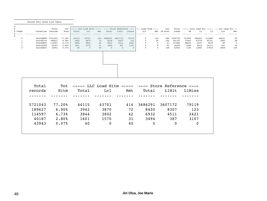Shared Data Cache Line Table =================================================

# # Total Tot ----- LLC Load Hitm ----- ---- Store Reference ---- --- Load Dram ---- LLC Total ----- Core Load Hit ----- -- LLC Load Hit -- Lcl Rmt Ld Miss Loads FB L1 L2 Llc نسيت بينست بينسي بينس بينس بينس بينس بينس بينس السبب بينس بينس بينس بينس السبب بينس بينس بينسي بين # # 0 0x2c0d880 5721043 77.20% 44115 43701 414 3686291 3607172 79119 0 145 584 2034752 741904 994452 213480 40631 25 1 0x2c0d7c0 189627 6.90% 3942 3870 72 8430 8307 123 0 29 150 181197 31943 97518 45751 1965 49 2 0x2c0d800 114597 6.73% 3844 3802 42 6932 4511 2421 0 0 47 107665 88022 6075 9639 80 5 3 0x2c2a280 40187 2.80% 1601 1570 31 3494 387 3107 0 0 65 36693 3584 6910 24123 441 34 4 0x2c0d8c0 43943 0.07% 40 0 40 0 0 0 0 4 148 43943 1106 11805 27916 2968 104

|        | ----- LLC Load Hitm ----- ---- Store Reference ---- |             |     |          |       | Tot    | Total   |
|--------|-----------------------------------------------------|-------------|-----|----------|-------|--------|---------|
| L1Miss | L1Hit                                               | Total       | Rmt | Lcl      | Total | Hitm   | records |
|        |                                                     |             |     |          |       |        |         |
| 79119  | 3607172                                             | 3686291     | 414 | 43701    | 44115 | 77.20% | 5721043 |
| 123    | 8307                                                | 8430        | 72  | 3870     | 3942  | 6.90%  | 189627  |
| 2421   | 4511                                                | 6932        | 42  | 3802     | 3844  | 6.73%  | 114597  |
| 3107   | 387                                                 | 3494        | 31  | 1570     | 1601  | 2.80%  | 40187   |
| 0      | $\mathbf 0$                                         | $\mathbf 0$ | 40  | $\Omega$ | 40    | 0.07%  | 43943   |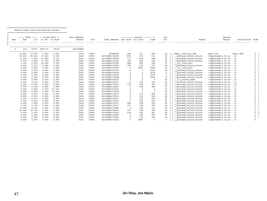Shared Cache Line Distribution Pareto

|     |        |        | ----- HITM ----- -- Store Refs -- |                | Data address                            |       |                                |                | ---------- cycles ---------- |          | cpu |                                       | Shared                  |                   |                |
|-----|--------|--------|-----------------------------------|----------------|-----------------------------------------|-------|--------------------------------|----------------|------------------------------|----------|-----|---------------------------------------|-------------------------|-------------------|----------------|
| Num | Rmt.   | Lc1    |                                   | L1 Hit L1 Miss | Offset                                  | Pid   | Code address rmt hitm lcl hitm |                |                              | load     | cnt | Symbol                                | Object                  | Source: Line Node |                |
|     |        |        |                                   |                | .                                       | .     | .<br>.                         |                |                              |          |     |                                       | .                       | .                 |                |
|     | 414    |        | 43701 3607172<br>. - - - - - - -  | 79119          | 0x2c0d880<br>-------------------------- |       |                                |                |                              |          |     |                                       |                         |                   |                |
|     | 12.80% | 13.05% | 0.00%                             | 0.00%          | 0x18                                    | 14493 | 0x4ad298                       | 296            | 151                          | 364      | 24  | maps find by time                     | perf.old                | map.c:866         | 0 <sub>1</sub> |
|     | 22.22% | 26.02% | 27.44%                            | 0.43%          | 0x20                                    | 14493 | 0x7fa88a71e302                 | 1000           | 476                          | 612      |     | [.] pthread rwlock rdlock             | libpthread-2.24.so      | $\cdot : 0$       | $\mathbf{0}$   |
|     | 11.35% | 7.94%  | 10.56%                            | 0.71%          | 0x20                                    | 14493 | 0x7fa88a71effb                 | 777            | 466                          | 588      |     | [.] pthread rwlock unlock             | libpthread-2.24.so      | $\cdot$ :0        | $\mathbf{0}$   |
|     | 2.66%  | 3.08%  | 17.78%                            | 0.00%          | 0x20                                    | 14493 | 0x7fa88a71e35a                 | 784            | 468                          | 444      |     | [.] _pthread_rwlock_rdlock            | libpthread-2.24.so      | $\cdot$ :0        |                |
|     | 3.14%  | 2.55%  | 20.26%                            | 0.13%          | 0x20                                    | 14493 | 0x7fa88a72238f                 | 588            | 402                          | 438      |     | $\lceil . \rceil$ 111 lock wait       | libpthread-2.24.so      | $\cdot$ :0        |                |
|     | 2.90%  | 2.22%  | 17.36%                            | 0.00%          | 0x20                                    | 14493 | 0x7fa88a71f0b5                 | 390            | 432                          | 471      | 24  | [.] pthread rwlock unlock             | libpthread-2.24.so      | $\cdot$ :0        | $\Omega$       |
|     | 0.00%  | 0.00%  | 0.00%                             | 0.00%          | 0x20                                    | 14493 | 0x7fa88a722393                 | $\Omega$       | 5833                         | 6490     |     | $\left[ . \right]$ 111 lock wait      | libpthread-2.24.so      | $\ldots$          |                |
|     | 0.00%  | 0.00%  | 0.00%                             | 0.00%          | 0x20                                    | 14493 | 0x7fa88a71e307                 | $\Omega$       | $\Omega$                     | 5276     |     | [.] pthread rwlock rdlock             | libpthread-2.24.so      | $\cdot$ :0        |                |
|     | 0.00%  | 0.00%  | 0.00%                             | 0.00%          | 0x20                                    | 14493 | 0x7fa88a71e35e                 | $\Omega$       | $\Omega$                     | 4976     |     | [.] pthread rwlock rdlock             | libpthread-2.24.so      | $\cdot$ :0        |                |
|     | 0.00%  | 0.00%  | 0.00%                             | 0.00%          | 0x20                                    | 14493 | 0x7fa88a71efff                 | $\Omega$       | $\Omega$                     | 5150     |     | [.] pthread rwlock unlock             | libpthread-2.24.so      | $\cdot$ :0        |                |
|     | 0.00%  | 0.00%  | 0.00%                             | 0.00%          | 0x20                                    | 14493 | 0x7fa88a71f0b8                 | $\Omega$       | $\Omega$                     | 4946     |     | [.] pthread rwlock unlock             | libpthread-2.24.so      | $\cdot$ :0        |                |
|     | 0.00%  | 0.00%  | 0.01%                             | 0.38%          | 0x20                                    | 14493 | 0x7fa88a722412                 | $\Omega$       | $\Omega$                     | $\Omega$ |     | $\left[\cdot\right]$ _111_unlock wake | libpthread-2.24.so      | $\cdot$ :0        |                |
|     | 0.00%  | 0.31%  | 0.00%                             | 0.00%          | 0x24                                    | 14493 | 0x7fa88a71e337                 | $\Omega$       | 152                          | 344      |     | [.] pthread rwlock rdlock             | libpthread-2.24.so      | $\cdot$ :0        |                |
|     | 0.24%  | 0.29%  | 0.00%                             | 0.00%          | 0x24                                    | 14493 | 0x7fa88a71f022                 | 733            | 149                          | 391      | 24  | [.] pthread rwlock unlock             | libpthread-2.24.so      | $\cdot$ :0        |                |
|     | 0.00%  | 0.16%  | 0.00%                             | 0.00%          | 0x24                                    | 14493 | 0x7fa88a71efe1                 | $\Omega$       | 158                          | 480      |     | [.] pthread rwlock unlock             | libpthread-2.24.so      | $\cdot$ :0        |                |
|     | 0.00%  | 0.00%  | 3.37%                             | 47.01%         | 0x24                                    | 14493 | 0x7fa88a71e340                 | $\Omega$       | $\Omega$                     | $\Omega$ | 24  | [.] pthread rwlock rdlock             | libpthread-2.24.so      | $\cdot$ :0        |                |
|     | 0.00%  | 0.00%  | 3.22%                             | 51.34%         | 0x24                                    | 14493 | 0x7fa88a71f02a                 | $\Omega$       | $\Omega$                     | $\Omega$ |     | [.] pthread rwlock unlock             | libpthread-2.24.so      | $\cdot$ :0        |                |
|     | 0.00%  | 0.01%  | 0.00%                             | 0.00%          | 0x30                                    | 14493 | 0x7fa88a71e470                 | $\Omega$       | 174                          | 280      |     | [.] pthread rwlock rdlock             | libpthread-2.24.so      | $\cdot$ :0        |                |
|     | 0.00%  | 0.00%  | 0.00%                             | 0.00%          | 0x30                                    | 14493 | 0x7fa88a71f041                 | $\Omega$       | 153                          | 322      |     | [.] pthread rwlock unlock             | libpthread-2.24.so      | $\cdot$ :0        |                |
|     | 0.00%  | 0.21%  | 0.00%                             | 0.00%          | 0x34                                    | 14493 | 0x7fa88a71e327                 | $\Omega$       | 170                          | 340      |     | [.] pthread rwlock rdlock             | libpthread-2.24.so      | $\cdot$ :0        |                |
|     | 0.00%  | 0.02%  | 0.00%                             | 0.00%          | 0x34                                    | 14493 | 0x7fa88a71f033                 | $\Omega$       | 152                          | 335      | 24  | [.] pthread rwlock unlock             | libpthread-2.24.so      | $\cdot$ :0        |                |
|     | 0.48%  | 2.59%  | 0.00%                             | 0.00%          | 0x38                                    | 14493 | 0x7fa88a71e31f                 | 266            | 148                          | 340      |     | [.] pthread rwlock rdlock             | libpthread-2.24.so      | $\ldots$          |                |
|     | 0.72%  | 2.14%  | 0.00%                             | 0.00%          | 0x38                                    | 14493 | 0x7fa88a71f017                 | 317            | 146                          | 394      | 24  | [.] pthread rwlock unlock             | libpthread-2.24.so      | $\cdot$ :0        |                |
|     | 0.00%  | 0.43%  | 0.00%                             | 0.00%          | 0x38                                    | 14493 | 0x7fa88a71efd8                 | $\overline{0}$ | 162                          | 473      | 24  | [.] pthread rwlock unlock             | libpthread-2.24.so      | $\cdot : 0$       |                |
|     | 41.06% | 34.16% | 0.00%                             | 0.00%          | 0x3c                                    | 14493 | 0x7fa88a71e2d1                 | 310            | 146                          | 398      | 24  | [.] pthread rwlock rdlock             | libpthread-2.24.so      | $\cdot$ :0        |                |
|     | 2.42%  | 4.35%  | 0.00%                             | 0.00%          | 0x3c                                    | 14493 | 0x7fa88a71efc0                 | 416            | 166                          | 481      | 24  | [.] pthread rwlock unlock             | libpthread-2.24.so      | $\cdot : 0$       |                |
|     | 0.00%  | 0.26%  | 0.00%                             | 0.00%          | 0x3c                                    | 14493 | 0x7fa88a71e356                 | $\Omega$       | 194                          | 353      |     | [.] pthread rwlock rdlock             | libpthread-2.24.so      | $\cdot$ :0        |                |
|     | 0.00%  | 0.20%  | 0.00%                             | 0.00%          | 0x3c                                    | 14493 | 0x7fa88a71f0b2                 | $\Omega$       | 176                          | 404      |     | [.] pthread rwlock unlock             | libpthread-2.24.so      | $\cdot : 0$       |                |
|     | 0.00%  | 0.00%  | 0.00%                             | 0.00%          | 0x3c                                    | 14493 | 0x7fa88a71e35a                 | $\Omega$       | 4983                         | $\Omega$ |     | [.] pthread rwlock rdlock             | libpthread-2.24.so .: 0 |                   |                |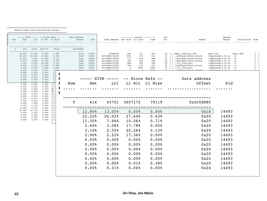=================================================

 Shared Cache Line Distribution Pareto =================================================

| Rmt              | Lc1             | ----- HITM ----- -- Store Refs --<br>L1 Hit L1 Miss |                                      | Data address               | Offset<br>Pid                  | Code address rmt hitm lcl hitm   | ---------- cycles ---------- |            | load             | cpu<br>cnt | Symbol                                                        | Shared<br>Object                                   | Source: Line Node |                                                      |
|------------------|-----------------|-----------------------------------------------------|--------------------------------------|----------------------------|--------------------------------|----------------------------------|------------------------------|------------|------------------|------------|---------------------------------------------------------------|----------------------------------------------------|-------------------|------------------------------------------------------|
|                  |                 |                                                     |                                      |                            |                                |                                  |                              |            |                  |            |                                                               |                                                    |                   |                                                      |
| 414              | 43701           | 3607172                                             | 79119                                | 0x2c0d880                  |                                |                                  |                              |            |                  |            |                                                               |                                                    |                   |                                                      |
| 12.80%           | 13.05%          | 0.00%                                               | 0.00%                                | -------------------------- | 0x18<br>14493                  | 0x4ad298                         | 296                          | 151        | 364              |            | 24 [.] maps find by time                                      | perf.old                                           | map.c:866         | $\mathbf 0$                                          |
| 22.22%<br>11.35% | 26.02%<br>7.94% | 27.44%<br>10.56%                                    | 0.43%<br>0.71%                       |                            | 0x20<br>14493<br>0x20<br>14493 | 0x7fa88a71e302<br>0x7fa88a71effb | 1000<br>777                  | 476<br>466 | 612<br>588       |            | 24 [.] _pthread_rwlock_rdlock<br>24 [.] pthread rwlock unlock | libpthread-2.24.so .: 0<br>libpthread-2.24.so      | $\ldots$          | $\mathbf{0}$<br>- 1<br>$\overline{1}$<br>$\mathbf 0$ |
| 2.66%            | 3.08%           | 17.78%                                              | 0.00%                                |                            | 0x20<br>14493                  | 0x7fa88a71e35a                   | 784                          | 468        | 444              |            | 24 [.] _pthread_rwlock_rdlock                                 | libpthread-2.24.so                                 | $\ldots$          | $\mathbf 0$                                          |
| 3.14%<br>2.90%   | 2.55%<br>2.22%  | 20.26%<br>17.36%                                    | 0.13%<br>0.00%                       |                            | 0x20<br>14493<br>0x20<br>14493 | 0x7fa88a72238f<br>0x7fa88a71f0b5 | 588<br>390                   | 402<br>432 | 438<br>471       |            | 24 [.] 111_lock wait<br>24 [.] pthread_rwlock_unlock          | libpthread-2.24.so .: 0<br>libpthread-2.24.so .: 0 |                   | $\mathbf 0$<br>$\mathbf{0}$                          |
| 0.00%<br>0.00%   | 0.00%<br>0.00%  | 0.00%<br>0.00%                                      | 0.00%<br>0.003                       |                            | 0x20<br>14493<br>14493<br>0.20 | 0x7fa88a722393<br>0x7f9882716307 | $\overline{0}$               | 5833       | 6490<br>5276     |            | 19 $\left[ . \right]$ 111 lock wait<br>nthroad rwlock rdlock  | libpthread-2.24.so .: 0<br>$1 \text{inthr}$        |                   | $\overline{1}$<br>$\mathbf{0}$                       |
| 0.00%            | 0.00%           | 0.00%                                               | 0.<br>#                              |                            |                                |                                  |                              |            |                  |            |                                                               |                                                    |                   |                                                      |
| 0.00%<br>0.00%   | 0.00%<br>0.00%  | 0.00%<br>0.00%                                      | 0.<br>$0$ .<br>$\#$                  |                            |                                | HITM<br>-----                    |                              |            | -- Store Refs -- |            | Data address                                                  |                                                    |                   |                                                      |
| 0.00%<br>0.00%   | 0.00%<br>0.31%  | 0.01%<br>0.00%                                      | 0.<br>0.                             |                            |                                |                                  |                              |            |                  |            |                                                               |                                                    |                   |                                                      |
| 0.24%<br>0.00%   | 0.29%<br>0.16%  | 0.00%<br>0.00%                                      | $\pmb{\ast}$<br>$\mathbf{0}$ .<br>0. | Num                        | Rmt                            | Lcl                              | L1 Hit                       |            | L1 Miss          |            | Offset                                                        | Pid                                                |                   |                                                      |
| 0.00%            | 0.00%           | 3.37%                                               | $\pmb{\ast}$<br>47.                  |                            |                                |                                  |                              |            |                  |            |                                                               |                                                    |                   |                                                      |
| 0.00%<br>0.00%   | 0.00%<br>0.01%  | 3.22%<br>0.00%                                      | 51.<br>$\ddagger$<br>0.              |                            |                                |                                  |                              |            |                  |            |                                                               |                                                    |                   |                                                      |
| 0.00%<br>0.00%   | 0.00%<br>0.21%  | 0.00%<br>0.00%                                      | 0.<br>0.                             |                            |                                |                                  |                              |            |                  |            |                                                               |                                                    |                   |                                                      |
| 0.00%            | 0.02%           | 0.00%                                               | 0.                                   | $\Omega$                   | 414                            | 43701                            | 3607172                      |            | 79119            |            | 0x2c0d880                                                     |                                                    |                   |                                                      |
| 0.48%<br>0.72%   | 2.59%<br>2.14%  | 0.00%<br>0.00%                                      | 0.<br>0.                             |                            |                                |                                  |                              |            |                  |            |                                                               |                                                    |                   |                                                      |
| 0.00%<br>41.06%  | 0.43%<br>34.16% | 0.00%<br>0.00%                                      | 0.<br>0.                             |                            |                                |                                  |                              |            |                  |            |                                                               |                                                    |                   |                                                      |
| 2.42%<br>0.00%   | 4.35%<br>0.26%  | 0.00%<br>0.00%                                      | 0.<br>0.                             |                            | 12.80%                         | 13.05%                           |                              | 0.00%      | 0.00%            |            | 0x18                                                          | 14493                                              |                   |                                                      |
| 0.00%            | 0.20%           | 0.00%                                               | 0.                                   |                            | 22.22%                         | 26.02%                           | 27.44%                       |            | 0.43%            |            | 0x20                                                          | 14493                                              |                   |                                                      |
| 0.00%            | 0.00%           | $0.00$ <sup>\$</sup>                                | 0.                                   |                            | 11.35%                         | 7.94%                            | 10.56%                       |            | 0.71%            |            | 0x20                                                          | 14493                                              |                   |                                                      |
|                  |                 |                                                     |                                      |                            | 2.66%                          | 3.08%                            | 17.78%                       |            | 0.00%            |            | 0x20                                                          | 14493                                              |                   |                                                      |
|                  |                 |                                                     |                                      |                            | 3.14%                          | 2.55%                            | 20.26%                       |            | 0.13%            |            | 0x20                                                          | 14493                                              |                   |                                                      |
|                  |                 |                                                     |                                      |                            | 2.90%                          | 2.22%                            | 17.36%                       |            | 0.00%            |            | 0x20                                                          | 14493                                              |                   |                                                      |
|                  |                 |                                                     |                                      |                            | 0.00%                          | 0.00%                            |                              | 0.00%      | 0.00%            |            | 0x20                                                          | 14493                                              |                   |                                                      |
|                  |                 |                                                     |                                      |                            | 0.00%                          | 0.00%                            |                              | 0.00%      | 0.00%            |            | 0x20                                                          | 14493                                              |                   |                                                      |
|                  |                 |                                                     |                                      |                            | 0.00%                          | 0.00%                            |                              | 0.00%      | 0.00%            |            | 0x20                                                          | 14493                                              |                   |                                                      |
|                  |                 |                                                     |                                      |                            | 0.00%                          | 0.00%                            |                              | 0.00%      | 0.00%            |            | 0x20                                                          | 14493                                              |                   |                                                      |
|                  |                 |                                                     |                                      |                            | 0.00%                          | 0.00%                            |                              | 0.00%      | 0.00%            |            | 0x20                                                          | 14493                                              |                   |                                                      |
|                  |                 |                                                     |                                      |                            | 0.00%                          | 0.00%                            |                              | 0.018      | 0.38%            |            | 0x20                                                          | 14493                                              |                   |                                                      |
|                  |                 |                                                     |                                      |                            | 0.00%                          | 0.31%                            |                              | 0.00%      | 0.00%            |            | 0x24                                                          | 14493                                              |                   |                                                      |
|                  |                 |                                                     |                                      |                            |                                |                                  |                              |            |                  |            |                                                               |                                                    |                   |                                                      |
|                  |                 |                                                     |                                      |                            |                                |                                  |                              |            |                  |            |                                                               |                                                    |                   |                                                      |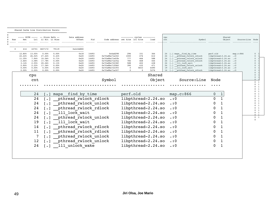|  |  |  | Shared Cache Line Distribution Pareto |  |  |  |  |  |  |  |  |  |
|--|--|--|---------------------------------------|--|--|--|--|--|--|--|--|--|
|  |  |  |                                       |  |  |  |  |  |  |  |  |  |

| Num |                                                                         | HITM ----- -- Store Refs --<br>Lcl                                     |                                                                           | L1 Hit L1 Miss                                                       | Data address<br>Offset                                       | Pid                                                                  | Code address rmt hitm lcl hitm                                                                                                         |                                                                          | ---------- cycles ----------                               | load                                                   |        | cpu<br>cnt                 | Symbol                                                                                                                                                                                                                                                                                               | Shared<br>Object                                                                                                                                                        |                                                                                             | Source: Line Node |                                                 |
|-----|-------------------------------------------------------------------------|------------------------------------------------------------------------|---------------------------------------------------------------------------|----------------------------------------------------------------------|--------------------------------------------------------------|----------------------------------------------------------------------|----------------------------------------------------------------------------------------------------------------------------------------|--------------------------------------------------------------------------|------------------------------------------------------------|--------------------------------------------------------|--------|----------------------------|------------------------------------------------------------------------------------------------------------------------------------------------------------------------------------------------------------------------------------------------------------------------------------------------------|-------------------------------------------------------------------------------------------------------------------------------------------------------------------------|---------------------------------------------------------------------------------------------|-------------------|-------------------------------------------------|
|     | 414                                                                     |                                                                        | 43701 3607172                                                             | 79119                                                                | 0x2c0d880                                                    |                                                                      |                                                                                                                                        |                                                                          |                                                            |                                                        |        |                            |                                                                                                                                                                                                                                                                                                      |                                                                                                                                                                         |                                                                                             |                   |                                                 |
|     | 12.80%<br>22.22%<br>11.35%<br>2.66%<br>3.14%<br>2.90%<br>0.00%<br>0.00% | 13.05%<br>26.02%<br>7.94%<br>3.08%<br>2.55%<br>2.22%<br>0.00%<br>0.00% | 0.00%<br>27.44%<br>10.56%<br>17.78%<br>20.26%<br>17.36%<br>0.00%<br>0.00% | 0.00%<br>0.43%<br>0.71%<br>0.00%<br>0.13%<br>0.00%<br>0.00%<br>0.00% | 0x18<br>0x20<br>0x20<br>0x20<br>0x20<br>0x20<br>0x20<br>0x20 | 14493<br>14493<br>14493<br>14493<br>14493<br>14493<br>14493<br>14493 | 0x4ad298<br>0x7fa88a71e302<br>0x7fa88a71effb<br>0x7fa88a71e35a<br>0x7fa88a72238f<br>0x7fa88a71f0b5<br>0x7fa88a722393<br>0x7fa88a71e307 | 296<br>1000<br>777<br>784<br>588<br>390<br>$\overline{0}$<br>$\mathbf 0$ | 151<br>476<br>466<br>468<br>402<br>432<br>5833<br>$\Omega$ | 364<br>612<br>588<br>444<br>438<br>471<br>6490<br>5276 |        | 24<br>24<br>19<br>$14$ [.] | 24 [.] maps find by time<br>24 [.] pthread rwlock rdlock<br>pthread rwlock unlock<br>$\lceil \cdot \rceil$<br>[.] pthread rwlock rdlock<br>$\left[ . \right]$ $\left[ . \right]$ $\left[ 111 \right]$ lock wait<br>pthread rwlock unlock<br>$\lceil . \rceil$ 111 lock wait<br>pthread rwlock rdlock | perf.old<br>libpthread-2.24.so<br>libpthread-2.24.so<br>libpthread-2.24.so<br>libpthread-2.24.so<br>libpthread-2.24.so<br>libpthread-2.24.so<br>libpthread-2.24.so .: 0 | map.c:866<br>$\ldots$<br>$\cdot : 0$<br>$\ldots$<br>$\cdot$ :0<br>$\cdot$ : 0<br>$\cdot$ :0 |                   | $\mathbf{0}$<br>$\Omega$                        |
|     |                                                                         | cpu                                                                    |                                                                           |                                                                      |                                                              |                                                                      |                                                                                                                                        |                                                                          |                                                            | Shared                                                 |        |                            |                                                                                                                                                                                                                                                                                                      |                                                                                                                                                                         |                                                                                             |                   | $\Omega$<br>$\Omega$                            |
|     |                                                                         | cnt                                                                    |                                                                           |                                                                      |                                                              |                                                                      | Symbol                                                                                                                                 |                                                                          |                                                            |                                                        | Object |                            | Source:Line                                                                                                                                                                                                                                                                                          | Node                                                                                                                                                                    |                                                                                             |                   | $\cap$<br>$0 \quad 1$                           |
|     |                                                                         |                                                                        |                                                                           |                                                                      |                                                              |                                                                      |                                                                                                                                        |                                                                          |                                                            |                                                        |        |                            |                                                                                                                                                                                                                                                                                                      |                                                                                                                                                                         |                                                                                             |                   | 0 <sup>1</sup><br>$0 \quad 1$<br>$\overline{0}$ |
|     |                                                                         | 24                                                                     | $\cdot$ 1                                                                 | maps                                                                 | find by time                                                 |                                                                      |                                                                                                                                        | perf.old                                                                 |                                                            |                                                        |        |                            | map.c:866                                                                                                                                                                                                                                                                                            | $\pmb{0}$                                                                                                                                                               |                                                                                             |                   | $\mathbf{0}$<br>$\Omega$                        |
|     |                                                                         | 24                                                                     |                                                                           |                                                                      | pthread rwlock rdlock                                        |                                                                      |                                                                                                                                        |                                                                          | libpthread-2.24.so                                         |                                                        |        |                            | $\cdot$ :0                                                                                                                                                                                                                                                                                           | $\Omega$                                                                                                                                                                |                                                                                             |                   | $\Omega$<br>$\Omega$                            |
|     |                                                                         | 24                                                                     |                                                                           |                                                                      | pthread rwlock unlock                                        |                                                                      |                                                                                                                                        |                                                                          | libpthread-2.24.so                                         |                                                        |        |                            | $\cdot$ :0                                                                                                                                                                                                                                                                                           | $\Omega$                                                                                                                                                                |                                                                                             |                   | $\Omega$<br>$\Omega$<br>$\Omega$                |
|     |                                                                         | 24                                                                     |                                                                           |                                                                      | pthread rwlock rdlock                                        |                                                                      |                                                                                                                                        |                                                                          | libpthread-2.24.so                                         |                                                        |        |                            | $\cdot$ :0                                                                                                                                                                                                                                                                                           | 0                                                                                                                                                                       |                                                                                             |                   | $0 \quad 1$<br>$\Omega$                         |
|     |                                                                         | 24                                                                     |                                                                           |                                                                      | 111 lock wait                                                |                                                                      |                                                                                                                                        |                                                                          | libpthread-2.24.so                                         |                                                        |        |                            | $\cdot$ : 0                                                                                                                                                                                                                                                                                          | 0                                                                                                                                                                       |                                                                                             |                   | 0 <sub>1</sub>                                  |
|     |                                                                         | 24                                                                     |                                                                           |                                                                      | pthread rwlock unlock                                        |                                                                      |                                                                                                                                        |                                                                          | libpthread-2.24.so                                         |                                                        |        |                            | $\cdot$ : 0                                                                                                                                                                                                                                                                                          | 0                                                                                                                                                                       |                                                                                             |                   | $0\quad 1$                                      |
|     |                                                                         | 19                                                                     |                                                                           |                                                                      | 111 lock wait                                                |                                                                      |                                                                                                                                        |                                                                          | libpthread-2.24.so                                         |                                                        |        |                            | $\cdot$ :0                                                                                                                                                                                                                                                                                           | 0                                                                                                                                                                       |                                                                                             |                   |                                                 |
|     |                                                                         | 14                                                                     |                                                                           |                                                                      | pthread rwlock rdlock                                        |                                                                      |                                                                                                                                        |                                                                          | libpthread-2.24.so                                         |                                                        |        |                            | $\cdot$ :0                                                                                                                                                                                                                                                                                           | 0                                                                                                                                                                       |                                                                                             |                   |                                                 |
|     |                                                                         | 11                                                                     |                                                                           |                                                                      | pthread rwlock rdlock                                        |                                                                      |                                                                                                                                        |                                                                          | libpthread-2.24.so                                         |                                                        |        |                            | $\cdot$ : 0                                                                                                                                                                                                                                                                                          | 0                                                                                                                                                                       |                                                                                             |                   |                                                 |
|     |                                                                         | 7                                                                      | $\lceil$ .]                                                               |                                                                      | pthread rwlock unlock                                        |                                                                      |                                                                                                                                        |                                                                          | libpthread-2.24.so                                         |                                                        |        |                            | $\cdot$ :0                                                                                                                                                                                                                                                                                           | $\Omega$                                                                                                                                                                |                                                                                             |                   |                                                 |
|     |                                                                         | 12                                                                     |                                                                           |                                                                      | pthread rwlock unlock                                        |                                                                      |                                                                                                                                        |                                                                          | libpthread-2.24.so                                         |                                                        |        |                            | $\cdot$ :0                                                                                                                                                                                                                                                                                           | 0                                                                                                                                                                       |                                                                                             |                   |                                                 |
|     |                                                                         | 24                                                                     |                                                                           |                                                                      | 111 unlock wake                                              |                                                                      |                                                                                                                                        |                                                                          | libpthread-2.24.so                                         |                                                        |        |                            | $\boldsymbol{\cdot}:\boldsymbol{0}$                                                                                                                                                                                                                                                                  | 0                                                                                                                                                                       |                                                                                             |                   |                                                 |
|     |                                                                         |                                                                        |                                                                           |                                                                      |                                                              |                                                                      |                                                                                                                                        |                                                                          |                                                            |                                                        |        |                            |                                                                                                                                                                                                                                                                                                      |                                                                                                                                                                         |                                                                                             |                   |                                                 |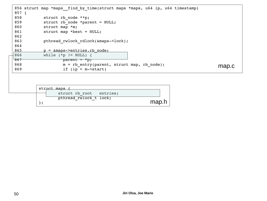| $857$ { | 856 struct map *maps find by time(struct maps *maps, u64 ip, u64 timestamp) |       |
|---------|-----------------------------------------------------------------------------|-------|
| 858     | struct rb node **p;                                                         |       |
| 859     | struct rb node *parent = NULL;                                              |       |
| 860     | struct map *m;                                                              |       |
| 861     | struct map *best = $NULL;$                                                  |       |
| 862     |                                                                             |       |
| 863     | pthread rwlock rdlock(&maps->lock);                                         |       |
| 864     |                                                                             |       |
| 865     | p = &maps->entries.rb node;                                                 |       |
| 866     | while $(*p != NULL)$ {                                                      |       |
| 867     | parent = $*$ p;                                                             |       |
| 868     | $m = rb$ entry(parent, struct map, rb node);                                | map.c |
| 869     | if $(ip < m->start)$                                                        |       |
|         |                                                                             |       |
|         |                                                                             |       |
|         |                                                                             |       |
|         | struct maps {                                                               |       |
|         | entries;<br>struct rb root                                                  |       |

pthread\_rwlock\_t lock;

map.h

};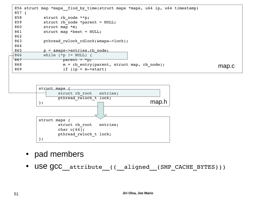



- pad members
- USE GCC attribute (( aligned (SMP CACHE BYTES)))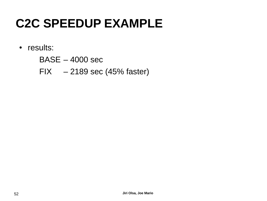- results:
	- BASE 4000 sec
	- FIX 2189 sec (45% faster)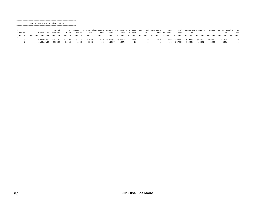Shared Data Cache Line Table

|       |           | Total   |        |       |       |      |         |         |        | Tot ----- LLC Load Hitm ----- ---- Store Reference ---- --- Load Dram ---- |     | LLC         |         |        |        |        | $Total$ ----- Core Load Hit ----- -- LLC Load Hit -- |    |
|-------|-----------|---------|--------|-------|-------|------|---------|---------|--------|----------------------------------------------------------------------------|-----|-------------|---------|--------|--------|--------|------------------------------------------------------|----|
| Index | Cacheline | records | Hitm   | Total | Lcl   | Rmt. | Total   | L1Hit   | LlMiss | Lcl                                                                        |     | Rmt Ld Miss | Loads   |        |        |        | Llc                                                  |    |
| .     |           |         |        |       |       | .    |         |         |        |                                                                            |     |             |         |        |        |        |                                                      | .  |
|       |           |         |        |       |       |      |         |         |        |                                                                            |     |             |         |        |        |        |                                                      |    |
|       | 0x31a5880 | 5203483 | 92.68% | 63366 | 62887 | 479  | 2999896 | 2935416 | 64480  |                                                                            | 150 | 649         | 2203587 | 929482 | 967733 | 188052 | 54784                                                | 20 |
|       | 0x31afa40 | 218888  | 6.44%  | 4406  | 4366  | 40   | 11007   | 10979   | 28     |                                                                            |     | 46          | 207881  | 119310 | 66592  | 8991   | 8576                                                 |    |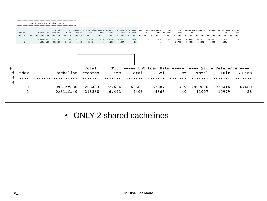|              | Shared Data Cache Line Table |        |                        |       |                                                                                    |      |         |            |             |          |                |             |         |        |         |                |                                                    |                                                     |       |
|--------------|------------------------------|--------|------------------------|-------|------------------------------------------------------------------------------------|------|---------|------------|-------------|----------|----------------|-------------|---------|--------|---------|----------------|----------------------------------------------------|-----------------------------------------------------|-------|
|              |                              | Total  |                        |       | Tot ----- LLC Load Hitm ----- ---- Store Reference ---- $\vert$ --- Load Dram ---- |      |         |            |             |          |                | LLC         |         |        |         |                | Total ----- Core Load Hit ----- -- LLC Load Hit -- |                                                     |       |
| # Index<br>. | Cacheline records            |        | Hitm                   | Total | Lc1                                                                                | Rmt. | Total   | L1Hit<br>. | LlMiss<br>. | Lcl<br>. |                | Rmt Ld Miss | Loads   | FB     | T.1     | L <sub>2</sub> | Llc                                                | Rmt<br>$\cdots$                                     |       |
|              | 0x31af880 5203483            |        | 92.68%                 | 63366 | 62887                                                                              | 479  | 2999896 | 2935416    | 64480       |          | 150            | 649         | 2203587 | 929482 | 967733  | 188052         | 54784                                              | 20                                                  |       |
|              | 0x31afa40                    | 218888 | 6.44%                  | 4406  | 4366                                                                               | 40   | 11007   | 10979      | 28          |          | $\overline{2}$ | 46          | 207881  | 119310 | 66592   | 8991           | 8576                                               | $\overline{4}$                                      |       |
|              |                              |        |                        |       |                                                                                    |      |         |            |             |          |                |             |         |        |         |                |                                                    |                                                     |       |
|              |                              |        |                        |       |                                                                                    |      |         |            |             |          |                |             |         |        |         |                |                                                    |                                                     |       |
|              |                              |        |                        |       |                                                                                    |      |         |            |             |          |                |             |         |        |         |                |                                                    |                                                     |       |
|              |                              |        |                        |       |                                                                                    |      |         |            |             |          |                |             |         |        |         |                |                                                    |                                                     |       |
|              |                              |        |                        |       |                                                                                    |      |         |            |             |          |                |             |         |        |         |                |                                                    |                                                     |       |
|              |                              |        |                        |       |                                                                                    |      |         |            |             |          |                |             |         |        |         |                |                                                    |                                                     |       |
|              |                              |        |                        |       | Total                                                                              |      | Tot     |            |             |          |                |             |         |        |         |                |                                                    | ----- LLC Load Hitm ----- ---- Store Reference ---- |       |
| # Index      |                              |        | Cacheline              |       | records                                                                            |      | Hitm    |            | Total       |          | Lcl            |             | Rmt     |        | Total   |                | L1Hit                                              | LlMiss                                              |       |
|              |                              |        |                        |       |                                                                                    |      |         |            |             |          |                |             |         |        |         |                |                                                    |                                                     |       |
|              |                              |        |                        |       |                                                                                    |      |         |            |             |          |                |             |         |        |         |                |                                                    |                                                     |       |
|              |                              |        |                        |       |                                                                                    |      |         |            |             |          |                |             |         |        |         |                |                                                    |                                                     |       |
|              |                              |        | 0x31af880<br>0x31afa40 |       | 5203483<br>218888                                                                  |      | 92.68%  |            | 63366       |          | 62887          |             | 479     |        | 2999896 |                | 2935416                                            |                                                     | 64480 |

• ONLY 2 shared cachelines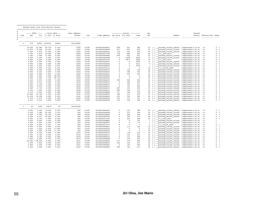#### ================================================= Shared Cache Line Distribution Pareto

| <b>TT T MAC</b> | $0 + - - - - - - -$ |  |
|-----------------|---------------------|--|

|          |        |              | ----- HITM ----- -- Store Refs -- |                | Data address                         | ---------- cycles ---------- |                |                   |                | cpu         |                 | Shared                       |                    |                          |                             |
|----------|--------|--------------|-----------------------------------|----------------|--------------------------------------|------------------------------|----------------|-------------------|----------------|-------------|-----------------|------------------------------|--------------------|--------------------------|-----------------------------|
| Num      | Rmt    | $_{\rm Lc1}$ |                                   | L1 Hit L1 Miss | Offset                               | Pid                          | Code address   | rmt hitm lcl hitm |                | load        | $_{\text{cnt}}$ | Symbol                       |                    | Object Source: Line Node |                             |
|          | .      |              |                                   |                | .                                    | .                            | .              | .                 | .              | .           |                 |                              | .                  |                          |                             |
|          |        |              |                                   |                |                                      |                              |                |                   |                |             |                 |                              |                    |                          |                             |
| $\Omega$ | 479    |              | 62887 2935416                     | 64480          | 0x31af880                            |                              |                |                   |                |             |                 |                              |                    |                          |                             |
|          |        |              |                                   |                | ------------------------------------ |                              | 0x7f8424fed302 |                   |                |             |                 |                              |                    |                          |                             |
|          | 19.42% | 22.58%       | 29.75%                            | 0.43%          | 0x20                                 | 14709                        |                | 948               | 461            | 580         | 24              | [.] pthread rwlock rdlock    | libpthread-2.24.so | . 10                     | $^{\circ}$                  |
|          | 15.87% | 13.66%       | 10.42%                            | 1.29%          | 0x20                                 | 14709                        | 0x7f8424fedffb | 927               | 507            | 620         | 24              | [.] pthread rwlock unlock    | libpthread-2.24.so | . 10                     | $\mathbf 0$                 |
|          | 0.42%  | 2.87%        | 17.62%                            | 0.00%          | 0x20                                 | 14709                        | 0x7f8424fed35a | 778               | 391            | 430         | 24              | [.] pthread rwlock rdlock    | libpthread-2.24.so | . 10                     | $\mathbf 0$                 |
|          | 2.30%  | 2.47%        | 19.00%                            | 0.08%          | 0x20                                 | 14709                        | 0x7f8424ff138f | 709               | 408            | 422         | 24              | $[.]$ 111 lock wait          | libpthread-2.24.so | . 10                     | $\Omega$                    |
|          | 1.04%  | 1.96%        | 17.00%                            | 0.00%          | 0x20                                 | 14709                        | 0x7f8424fee0b5 | 409               | 403            | 451         | 24              | [.] pthread rwlock unlock    | libpthread-2.24.so | . 10                     | $\Omega$                    |
|          | 0.00%  | 0.00%        | 0.00%                             | 0.00%          | 0x20                                 | 14709                        | 0x7f8424fee0b8 | $\Omega$          | 5208           | 4983        | 15              | [.] pthread rwlock unlock    | libpthread-2.24.so | $\cdot$ :0               | $\Omega$                    |
|          | 0.00%  | 0.00%        | 0.00%                             | 0.00%          | 0x20                                 | 14709                        | 0x7f8424ff1393 | $\Omega$          | 4811           | 5048        |                 | $[.]$ 111 lock wait          | libpthread-2.24.so | . 10                     | $\Omega$                    |
|          | 0.00%  | 0.00%        | 0.00%                             | 0.00%          | 0x20                                 | 14709                        | 0x7f8424fed307 | $\Omega$          | $\Omega$       | 4993        | 13              | [.] pthread rwlock rdlock    | libpthread-2.24.so | $\cdot$ : 0              | $\Omega$                    |
|          | 0.00%  | 0.00%        | 0.00%                             | 0.00%          | 0x20                                 | 14709                        | 0x7f8424fed35e | $\Omega$          | $\Omega$       | 5223        | 9               | [.] pthread rwlock rdlock    | libpthread-2.24.so | $\cdot$ : 0              | $\Omega$                    |
|          | 0.00%  | 0.00%        | 0.00%                             | 0.00%          | 0x20                                 | 14709                        | 0x7f8424fedfff | $\Omega$          | $\Omega$       | 5706        | $7\phantom{.0}$ | .] pthread rwlock unlock     | libpthread-2.24.so | . 10                     | $\Omega$                    |
|          | 0.00%  | 0.00%        | 0.01%                             | 0.63%          | 0x20                                 | 14709                        | 0x7f8424ff1412 | $\Omega$          | $\Omega$       | $\Omega$    | 24              | 111 unlock wake              | libpthread-2.24.so | . 10                     | $\Omega$                    |
|          | 0.00%  | 0.26%        | 0.00%                             | 0.00%          | 0x24                                 | 14709                        | 0x7f8424fed337 | $\Omega$          | 161            | 332         | 24              | [.] pthread rwlock rdlock    | libpthread-2.24.so | $\cdot$ : 0              | $\Omega$                    |
|          | 0.00%  | 0.23%        | 0.00%                             | 0.00%          | 0x24                                 | 14709                        | 0x7f8424fee022 | $\Omega$          | 158            | 332         | 24              | [.] pthread rwlock unlock    | libpthread-2.24.so | . 10                     | $\Omega$                    |
|          | 0.00%  | 0.09%        | 0.00%                             | 0.00%          | 0x24                                 | 14709                        | 0x7f8424fedfel | $\mathbf 0$       | 222            | 383         | 24              | pthread rwlock unlock        | libpthread-2.24.so | . 10                     | $\mathbf 0$                 |
|          | 0.00%  | 0.00%        | 3.05%                             | 46.84%         | 0x24                                 | 14709                        | 0x7f8424fed340 | $\Omega$          | $\Omega$       | $^{\circ}$  | 24              | [.] pthread rwlock rdlock    | libpthread-2.24.so | . 10                     | $\mathbf 0$                 |
|          | 0.00%  | 0.00%        | 3.15%                             | 50.73%         | 0x24                                 | 14709                        | 0x7f8424fee02a | $\mathbf 0$       | $\mathbf 0$    | $\mathbf 0$ | 24              | [.] pthread rwlock unlock    | libpthread-2.24.so | $\cdot$ : 0              | $\mathbf 0$                 |
|          | 0.21%  | 0.01%        | 0.00%                             | 0.00%          | 0x30                                 | 14709                        | 0x7f8424fee041 | 385               | 244            | 252         | 24              | pthread rwlock unlock        | libpthread-2.24.so | $\cdot$ : 0              | $\mathbf 0$                 |
|          | 0.00%  | 0.01%        | 0.00%                             | 0.00%          | 0x30                                 | 14709                        | 0x7f8424fed470 | $\Omega$          | 360            | 283         | 24              | [.] pthread rwlock rdlock    | libpthread-2.24.so | . 10                     | $\mathbf 0$                 |
|          | 0.00%  | 0.19%        | 0.00%                             | 0.00%          | 0x34                                 | 14709                        | 0x7f8424fed327 | $\mathbf 0$       | 155            | 331         | 24              | [.] pthread rwlock rdlock    | libpthread-2.24.so | . 10                     | $\mathbf 0$                 |
|          | 0.00%  | 0.01%        | 0.00%                             | 0.00%          | 0x34                                 | 14709                        | 0x7f8424fee033 | $^{\circ}$        | 154            | 245         | 24              | [.] pthread rwlock unlock    | libpthread-2.24.so | . 10                     | $\mathbf 0$                 |
|          | 0.84%  | 2.73%        | 0.00%                             | 0.00%          | 0x38                                 | 14709                        | 0x7f8424fed31f | 487               | 151            | 330         | 24              | [.] pthread rwlock rdlock    | libpthread-2.24.so | $\cdot$ : 0              | $\Omega$                    |
|          | 0.42%  | 1.94%        | 0.00%                             | 0.00%          | 0x38                                 | 14709                        | 0x7f8424fee017 | 280               | 148            | 331         | 24              | [.] pthread rwlock unlock    | libpthread-2.24.so | . 10                     | $\mathbf 0$                 |
|          | 0.21%  | 0.53%        | 0.00%                             | 0.00%          | 0x38                                 | 14709                        | 0x7f8424fedfd8 | 337               | 183            | 378         | 24              | .] pthread rwlock unlock     | libpthread-2.24.so | . 10                     | $\mathbf 0$                 |
|          | 43.84% | 35.76%       | 0.00%                             | 0.00%          | 0x3c                                 | 14709                        | 0x7f8424fed2d1 | 346               | 151            | 390         | 24              | pthread rwlock rdlock        | libpthread-2.24.so | . 10                     | $\mathbf 0$                 |
|          | 15.03% | 14.28%       | 0.00%                             | 0.00%          | 0x3c                                 | 14709                        | 0x7f8424fedfc0 | 355               | 163            | 392         | 24              | [.] pthread rwlock unlock    | libpthread-2.24.so | . 10                     | $\mathbf 0$                 |
|          | 0.21%  | 0.21%        | 0.00%                             | 0.00%          | 0x3c                                 | 14709                        | 0x7f8424fee0b2 | 333               | 174            | 341         | 24              | [.] pthread rwlock unlock    | libpthread-2.24.so | $\cdot$ : 0              | $\Omega$                    |
|          | 0.21%  | 0.21%        | 0.00%                             | 0.00%          | 0x3c                                 | 14709                        | 0x7f8424fed356 | 315               | 192            | 345         | 24              | [.] pthread rwlock rdlock    | libpthread-2.24.so | . 10                     | $\mathbf{0}$<br>- 1         |
|          |        |              |                                   |                |                                      |                              |                |                   |                |             |                 |                              |                    |                          |                             |
| 1        | 40     | 4366         | 10979                             | 28             | 0x31afa40                            |                              |                |                   |                |             |                 |                              |                    |                          |                             |
|          | 0.00%  | 2.06%        | 19.54%                            | 0.00%          | 0x0                                  | 14709                        | 0x7f8424fed302 | $\Omega$          | 321            | 289         | 24              | [.] pthread rwlock rdlock    | libpthread-2.24.so | $\cdot$ :0               | $\mathbf 0$                 |
|          | 0.00%  | 1.28%        | 26.36%                            | 3.57%          | 0x0                                  | 14709                        | 0x7f8424fedffb | $\Omega$          | 337            | 340         | 24              | [.] pthread rwlock unlock    | libpthread-2.24.so | . 10                     | $\mathbf 0$<br>$\mathbf{1}$ |
|          | 0.00%  | 0.39%        | 18.35%                            | 0.00%          | 0x0                                  | 14709                        | 0x7f8424fee0b5 | $\Omega$          | 329            | 304         | 24              | [.] pthread rwlock unlock    | libpthread-2.24.so | . 10                     | 0                           |
|          | 0.00%  | 0.23%        | 22.60%                            | 0.00%          | 0x0                                  | 14709                        | 0x7f8424fed35a | $\Omega$          | 384            | 276         | 24              | [.] pthread rwlock rdlock    | libpthread-2.24.so | . 10                     | $\mathbf 0$                 |
|          | 0.00%  | 0.14%        | 1.99%                             | 0.00%          | 0x0                                  | 14709                        | 0x7f8424ff138f | $\Omega$          | 263            | 269         | 24              | $[.]$ 111 lock wait          | libpthread-2.24.so | . 10                     | $\mathbf 0$                 |
|          | 0.00%  | 0.00%        | 0.02%                             | 0.00%          | 0x0                                  | 14709                        | 0x7f8424fed8ec | $\Omega$          | $\Omega$       | 122         | 1               | [.] pthread rwlock wrlock    | libpthread-2.24.so | . 10                     | 1                           |
|          | 0.00%  | 0.00%        | 0.02%                             | 0.00%          | 0x0                                  | 14709                        | 0x7f8424fed923 | $^{\circ}$        | $\mathbf 0$    | 137         |                 | pthread rwlock wrlock        | libpthread-2.24.so | $\cdot$ :0               | $\mathbf{1}$                |
|          | 0.00%  | 0.00%        | 0.01%                             | 7.14%          | 0x0                                  | 14709                        | 0x7f8424ff1412 | $\Omega$          | $\Omega$       | $\Omega$    | 3               | [.] 111 unlock wake          | libpthread-2.24.so | . 10                     | $\mathbf 0$                 |
|          | 0.00%  | 0.05%        | 0.00%                             | 0.00%          | 0x4                                  | 14709                        | 0x7f8424fedfel | $\Omega$          | 111            | 246         |                 | pthread rwlock unlock        | libpthread-2.24.so | . 10                     | $\Omega$                    |
|          | 0.00%  | 0.00%        | 0.82%                             | 17.86%         | 0x4                                  | 14709                        | 0x7f8424fed340 | $\Omega$          | $\overline{0}$ | $\mathbf 0$ | 24              | [.] pthread rwlock rdlock    | libpthread-2.24.so | $\cdot$ : 0              | $\mathbf 0$                 |
|          | 0.00%  |              | 10.29%                            | 71.43%         |                                      | 14709                        |                | $\Omega$          | $\Omega$       | $\Omega$    | 23              |                              |                    |                          | $\Omega$                    |
|          |        | 0.00%        |                                   |                | 0x4                                  |                              | 0x7f8424fee02a |                   |                |             | 24              | .] pthread rwlock unlock     | libpthread-2.24.so | . 10                     | $\Omega$                    |
|          | 0.00%  | 0.05%        | 0.00%                             | 0.00%          | 0x10                                 | 14709                        | 0x7f8424fed470 | $\Omega$          | 136            | 242         | 24              | pthread rwlock rdlock        | libpthread-2.24.so | . 10                     | $\Omega$                    |
|          | 0.00%  | 0.18%        | 0.00%                             | 0.00%          | 0x18                                 | 14709                        | 0x7f8424fee017 | $\Omega$          | 125            | 254         | 24              | [.] pthread rwlock unlock    | libpthread-2.24.so | . 10                     |                             |
|          | 0.00%  | 0.16%        | 0.00%                             | 0.00%          | 0x18                                 | 14709                        | 0x7f8424fed31f | $\Omega$          | 112            | 248         | 24              | [.] pthread rwlock rdlock    | libpthread-2.24.so | . 10                     | $\Omega$                    |
|          | 0.00%  | 0.09%        | 0.00%                             | 0.00%          | 0x18                                 | 14709                        | 0x7f8424fedfd8 | $\mathbf 0$       | 120            | 246         | 24              | pthread rwlock unlock        | libpthread-2.24.so | $\cdot$ :0               | $\mathbf 0$                 |
|          | 92.50% | 88.52%       | 0.00%                             | 0.00%          | 0x1c                                 | 14709                        | 0x7f8424fed2d1 | 271               | 119            | 246         | 24              | .] pthread rwlock rdlock     | libpthread-2.24.so | . 10                     | $\mathbf 0$                 |
|          | 2.50%  | 3.83%        | 0.00%                             | 0.00%          | 0x1c                                 | 14709                        | 0x7f8424fedfc0 | 244               | 118            | 261         | 24              | [.] pthread rwlock unlock    | libpthread-2.24.so | . 10                     | $\mathbf 0$                 |
|          | 0.00%  | 0.05%        | 0.00%                             | 0.00%          | 0x1c                                 | 14709                        | 0x7f8424fee0b2 | $^{\circ}$        | 155            | 264         | 24              | [.] pthread rwlock unlock    | libpthread-2.24.so | . 10                     | $\mathbf 0$                 |
|          | 5.00%  | 2.98%        | 0.00%                             | 0.00%          | 0x20                                 | 14709                        | 0x7f8424fed2e9 | 286               | 120            | 231         |                 | 24 [.] pthread rwlock rdlock | libpthread-2.24.so | . 10                     | $\mathbf 0$                 |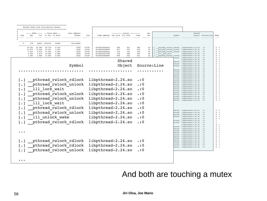| Num                   | ----- HITM ----- -- Store Refs --<br>Rmt<br>. | .              | Lcl L1 Hit L1 Miss<br>. |                 | Data address<br>Offset | Pid<br>.       | Code address rmt hitm lcl hitm<br>. |            | ---------- cycles ---------- | load                                | cpu<br>cnt |                     | Symbol | Shared                                                                                                 | Object Source: Line |
|-----------------------|-----------------------------------------------|----------------|-------------------------|-----------------|------------------------|----------------|-------------------------------------|------------|------------------------------|-------------------------------------|------------|---------------------|--------|--------------------------------------------------------------------------------------------------------|---------------------|
| $\Omega$              | 479                                           |                | 62887 2935416           | 64480           | 0x31af880              |                |                                     |            |                              |                                     |            |                     |        |                                                                                                        |                     |
|                       | 19.42%                                        | 22.58%         | 29.75%                  | 0.43%           |                        | 14709          | 0x7f8424fed302                      | 948        | 461                          | 580                                 | 24         |                     |        |                                                                                                        |                     |
|                       | 15.87%                                        | 13.66%         | 10.42%                  | 1.29%           | 0x20<br>0x20           | 14709          | 0x7f8424fedffb                      | 927        | 507                          | 620                                 | 2.4        |                     |        | [.] pthread rwlock rdlock libpthread-2.24.so .: 0<br>[.] pthread rwlock unlock libpthread-2.24.so .: 0 |                     |
|                       | 0.42%<br>2.30%                                | 2.87%<br>2.47% | 17.62%<br>19.00%        | 0.00%<br>0.08%  | 0x20<br>0x20           | 14709<br>14709 | 0x7f8424fed35a<br>0x7f8424ff138f    | 778<br>709 | 391<br>408                   | 430<br>422                          | 24<br>24   | $[.]$ 111 lock wait |        | [.] pthread rwlock rdlock libpthread-2.24.so .: 0<br>libpthread-2.24.so .: 0                           |                     |
|                       | 1.04%                                         | 1.96%          | 17.00%                  | 0.00%           | 0x20                   | 14709          | 0x7f8424fee0b5                      | 409        | 403                          | 451                                 | 2.4        |                     |        | [.] pthread rwlock unlock libpthread-2.24.so .: 0                                                      |                     |
|                       |                                               |                |                         |                 |                        |                |                                     |            |                              |                                     |            |                     |        | unlock libpthread-2.24.so .: 0<br>libpthread-2.24.so .: 0                                              |                     |
|                       |                                               |                |                         |                 |                        |                |                                     |            | Shared                       |                                     |            |                     |        | rdlock libpthread-2.24.so .: 0                                                                         |                     |
|                       |                                               |                |                         |                 | Symbol                 |                |                                     |            | Object                       |                                     |            | Source:Line         |        | rdlock libpthread-2.24.so .: 0<br>unlock libpthread-2.24.so .: 0                                       |                     |
|                       |                                               |                |                         |                 |                        |                |                                     |            |                              |                                     |            |                     |        | libpthread-2.24.so .: 0                                                                                |                     |
|                       |                                               |                |                         |                 |                        |                |                                     |            |                              |                                     |            |                     |        | rdlock libpthread-2.24.so .: 0<br>unlock libpthread-2.24.so .: 0                                       |                     |
|                       |                                               |                |                         |                 |                        |                |                                     |            |                              |                                     |            |                     |        | unlock libpthread-2.24.so .: 0<br>rdlock libpthread-2.24.so .: 0                                       |                     |
|                       |                                               |                |                         |                 |                        |                |                                     |            |                              |                                     |            |                     |        | unlock libpthread-2.24.so .: 0                                                                         |                     |
| $\lceil \cdot \rceil$ |                                               |                |                         |                 | pthread rwlock rdlock  |                | libpthread-2.24.so                  |            |                              | $\cdot$ :0                          |            |                     |        | unlock libpthread-2.24.so .: 0<br>rdlock libpthread-2.24.so .: 0                                       |                     |
|                       |                                               |                |                         |                 | pthread rwlock unlock  |                | libpthread-2.24.so                  |            |                              | $\boldsymbol{\ldots}$               |            |                     |        | rdlock libpthread-2.24.so .: 0                                                                         |                     |
|                       |                                               |                |                         |                 |                        |                |                                     |            |                              |                                     |            |                     |        | unlock libpthread-2.24.so .: 0<br>rdlock libpthread-2.24.so .: 0                                       |                     |
| $\left[\cdot\right]$  |                                               |                |                         | 111 lock wait   |                        |                | libpthread-2.24.so                  |            |                              | $\boldsymbol{\cdot}:\boldsymbol{0}$ |            |                     |        | unlock libpthread-2.24.so .: 0                                                                         |                     |
|                       |                                               |                |                         |                 | pthread rwlock unlock  |                | libpthread-2.24.so                  |            |                              | $\cdot$ :0                          |            |                     |        | unlock libpthread-2.24.so .: 0<br>rdlock libpthread-2.24.so .: 0                                       |                     |
|                       |                                               |                |                         |                 | pthread rwlock unlock  |                | libpthread-2.24.so                  |            |                              | $\boldsymbol{\cdot}:\boldsymbol{0}$ |            |                     |        | unlock libpthread-2.24.so .: 0<br>unlock libpthread-2.24.so .: 0                                       |                     |
|                       |                                               |                |                         |                 |                        |                |                                     |            |                              |                                     |            |                     |        | rdlock libpthread-2.24.so .: 0                                                                         |                     |
|                       |                                               |                |                         | 111 lock wait   |                        |                | libpthread-2.24.so                  |            |                              | $\boldsymbol{\cdot}:\boldsymbol{0}$ |            |                     |        |                                                                                                        |                     |
|                       |                                               |                |                         |                 | pthread rwlock rdlock  |                | libpthread-2.24.so                  |            |                              | $\boldsymbol{\ldots}$               |            |                     |        | rdlock libpthread-2.24.so .: 0                                                                         |                     |
|                       |                                               |                |                         |                 | pthread rwlock unlock  |                | libpthread-2.24.so                  |            |                              | $\boldsymbol{\cdot}:\boldsymbol{0}$ |            |                     |        | unlock libpthread-2.24.so .: 0                                                                         |                     |
|                       |                                               |                |                         |                 |                        |                |                                     |            |                              |                                     |            |                     |        | unlock libpthread-2.24.so .: 0<br>rdlock libpthread-2.24.so .: 0                                       |                     |
|                       |                                               |                |                         | 111 unlock wake |                        |                | libpthread-2.24.so                  |            |                              | $\boldsymbol{\ldots}$               |            |                     |        | libpthread-2.24.so .: 0                                                                                |                     |
|                       |                                               |                |                         |                 | pthread rwlock rdlock  |                | libpthread-2.24.so                  |            |                              | $\ldots$                            |            |                     |        | wrlock libpthread-2.24.so .: 0<br>wrlock libpthread-2.24.so .: 0                                       |                     |
|                       |                                               |                |                         |                 |                        |                |                                     |            |                              |                                     |            |                     |        | libpthread-2.24.so .: 0<br>unlock libpthread-2.24.so .: 0                                              |                     |
|                       |                                               |                |                         |                 |                        |                |                                     |            |                              |                                     |            |                     |        | rdlock libpthread-2.24.so .: 0                                                                         |                     |
|                       |                                               |                |                         |                 |                        |                |                                     |            |                              |                                     |            |                     |        | unlock libpthread-2.24.so .: 0<br>rdlock libpthread-2.24.so .: 0                                       |                     |
|                       |                                               |                |                         |                 |                        |                |                                     |            |                              |                                     |            |                     |        | unlock libpthread-2.24.so .: 0                                                                         |                     |
|                       |                                               |                |                         |                 |                        |                |                                     |            |                              |                                     |            |                     |        | rdlock libpthread-2.24.so .: 0<br>unlock libpthread-2.24.so .: 0                                       |                     |
| $[\cdot]$             |                                               |                |                         |                 | pthread rwlock rdlock  |                | libpthread-2.24.so                  |            |                              | $\cdot$ :0                          |            |                     | unlock | rdlock libpthread-2.24.so .: 0<br>libpthread-2.24.so .: 0                                              |                     |
|                       | $\lceil \cdot \rceil$                         |                |                         |                 | pthread rwlock rdlock  |                | libpthread-2.24.so                  |            |                              | $\boldsymbol{\cdot}:\boldsymbol{0}$ |            |                     |        | unlock libpthread-2.24.so .: 0                                                                         |                     |
|                       |                                               |                |                         |                 |                        |                |                                     |            |                              |                                     |            |                     |        | rdlock libpthread-2.24.so .: 0                                                                         |                     |
|                       |                                               |                |                         |                 | pthread rwlock unlock  |                | libpthread-2.24.so                  |            |                              | $\boldsymbol{\ldots}$               |            |                     |        |                                                                                                        |                     |

#### And both are touching a mutex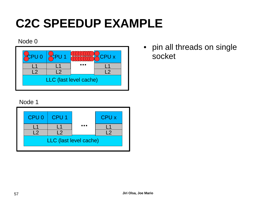#### Node 0

| CPU 0 | $\mathbb{C}$ PU 1      | <b>CPU X</b> |
|-------|------------------------|--------------|
|       |                        |              |
|       |                        |              |
|       | LLC (last level cache) |              |

#### Node 1



• pin all threads on single socket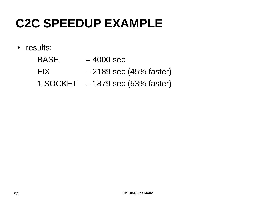• results:

| <b>BASE</b> | $-4000$ sec                         |
|-------------|-------------------------------------|
| FIX.        | $-2189$ sec (45% faster)            |
|             | $1$ SOCKET $-1879$ sec (53% faster) |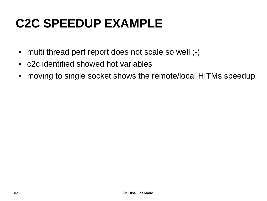- multi thread perf report does not scale so well ;-)
- c2c identified showed hot variables
- moving to single socket shows the remote/local HITMs speedup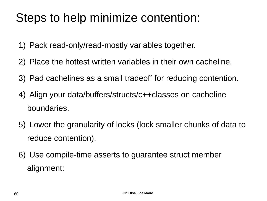### Steps to help minimize contention:

- 1) Pack read-only/read-mostly variables together.
- 2) Place the hottest written variables in their own cacheline.
- 3) Pad cachelines as a small tradeoff for reducing contention.
- 4) Align your data/buffers/structs/c++classes on cacheline boundaries.
- 5) Lower the granularity of locks (lock smaller chunks of data to reduce contention).
- 6) Use compile-time asserts to guarantee struct member alignment: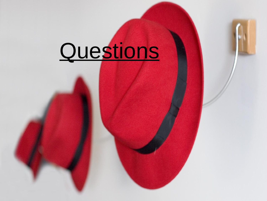# Questions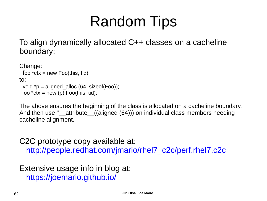# Random Tips

To align dynamically allocated C++ classes on a cacheline boundary:

```
Change:
 foo *ctx = new Foo(this, tid);
to:
 void \uparrow p = aligned alloc (64, sizeof(Foo));
 foo *ctx = new (p) Foo(this, tid);
```
The above ensures the beginning of the class is allocated on a cacheline boundary. And then use " attribute ((aligned (64))) on individual class members needing cacheline alignment.

C2C prototype copy available at: [http://people.redhat.com/jmario/rhel7\\_c2c/perf.rhel7.c2c](http://people.redhat.com/jmario/rhel7_c2c/perf.rhel7.c2c)

Extensive usage info in blog at: <https://joemario.github.io/>